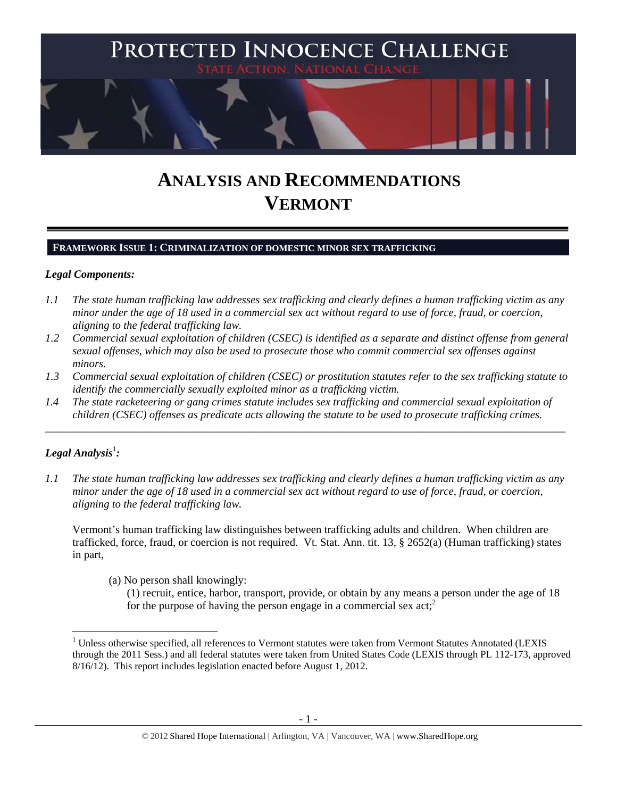

# **ANALYSIS AND RECOMMENDATIONS VERMONT**

#### **FRAMEWORK ISSUE 1: CRIMINALIZATION OF DOMESTIC MINOR SEX TRAFFICKING**

#### *Legal Components:*

- *1.1 The state human trafficking law addresses sex trafficking and clearly defines a human trafficking victim as any minor under the age of 18 used in a commercial sex act without regard to use of force, fraud, or coercion, aligning to the federal trafficking law.*
- *1.2 Commercial sexual exploitation of children (CSEC) is identified as a separate and distinct offense from general sexual offenses, which may also be used to prosecute those who commit commercial sex offenses against minors.*
- *1.3 Commercial sexual exploitation of children (CSEC) or prostitution statutes refer to the sex trafficking statute to identify the commercially sexually exploited minor as a trafficking victim.*

\_\_\_\_\_\_\_\_\_\_\_\_\_\_\_\_\_\_\_\_\_\_\_\_\_\_\_\_\_\_\_\_\_\_\_\_\_\_\_\_\_\_\_\_\_\_\_\_\_\_\_\_\_\_\_\_\_\_\_\_\_\_\_\_\_\_\_\_\_\_\_\_\_\_\_\_\_\_\_\_\_\_\_\_\_\_\_\_\_\_\_\_\_\_

*1.4 The state racketeering or gang crimes statute includes sex trafficking and commercial sexual exploitation of children (CSEC) offenses as predicate acts allowing the statute to be used to prosecute trafficking crimes.* 

# ${\it Legal Analysis^!}$  :

*1.1 The state human trafficking law addresses sex trafficking and clearly defines a human trafficking victim as any minor under the age of 18 used in a commercial sex act without regard to use of force, fraud, or coercion, aligning to the federal trafficking law.* 

Vermont's human trafficking law distinguishes between trafficking adults and children. When children are trafficked, force, fraud, or coercion is not required. Vt. Stat. Ann. tit. 13, § 2652(a) (Human trafficking) states in part,

(a) No person shall knowingly:

(1) recruit, entice, harbor, transport, provide, or obtain by any means a person under the age of 18 for the purpose of having the person engage in a commercial sex  $act<sub>i</sub><sup>2</sup>$ 

<sup>&</sup>lt;sup>1</sup> Unless otherwise specified, all references to Vermont statutes were taken from Vermont Statutes Annotated (LEXIS through the 2011 Sess.) and all federal statutes were taken from United States Code (LEXIS through PL 112-173, approved 8/16/12). This report includes legislation enacted before August 1, 2012.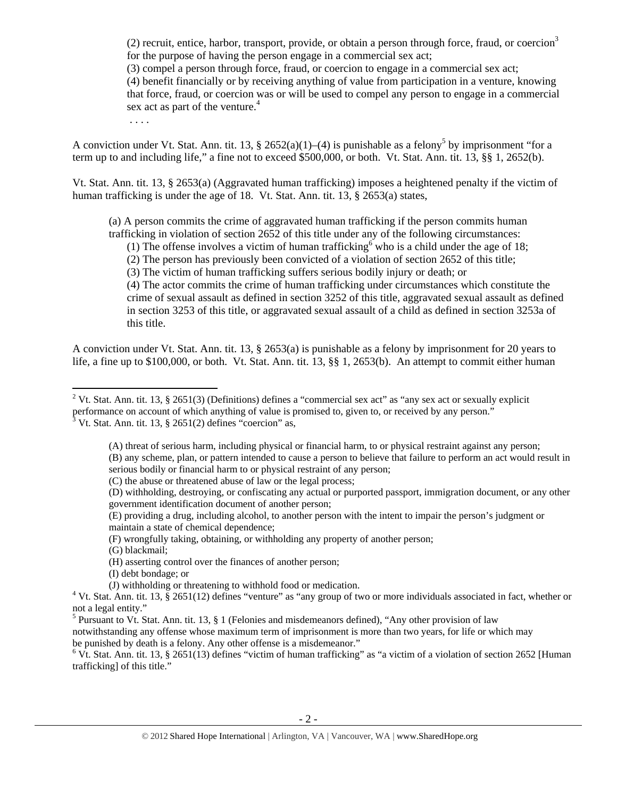(2) recruit, entice, harbor, transport, provide, or obtain a person through force, fraud, or coercion<sup>3</sup> for the purpose of having the person engage in a commercial sex act;

(3) compel a person through force, fraud, or coercion to engage in a commercial sex act;

(4) benefit financially or by receiving anything of value from participation in a venture, knowing that force, fraud, or coercion was or will be used to compel any person to engage in a commercial sex act as part of the venture.<sup>4</sup>

. . . .

A conviction under Vt. Stat. Ann. tit. 13, § 2652(a)(1)–(4) is punishable as a felony<sup>5</sup> by imprisonment "for a term up to and including life," a fine not to exceed \$500,000, or both. Vt. Stat. Ann. tit. 13, §§ 1, 2652(b).

Vt. Stat. Ann. tit. 13, § 2653(a) (Aggravated human trafficking) imposes a heightened penalty if the victim of human trafficking is under the age of 18. Vt. Stat. Ann. tit. 13, § 2653(a) states,

(a) A person commits the crime of aggravated human trafficking if the person commits human trafficking in violation of section 2652 of this title under any of the following circumstances:

(1) The offense involves a victim of human trafficking who is a child under the age of 18;

(2) The person has previously been convicted of a violation of section 2652 of this title;

(3) The victim of human trafficking suffers serious bodily injury or death; or

(4) The actor commits the crime of human trafficking under circumstances which constitute the crime of sexual assault as defined in section 3252 of this title, aggravated sexual assault as defined in section 3253 of this title, or aggravated sexual assault of a child as defined in section 3253a of this title.

A conviction under Vt. Stat. Ann. tit. 13, § 2653(a) is punishable as a felony by imprisonment for 20 years to life, a fine up to \$100,000, or both. Vt. Stat. Ann. tit. 13, §§ 1, 2653(b). An attempt to commit either human

(C) the abuse or threatened abuse of law or the legal process;

(E) providing a drug, including alcohol, to another person with the intent to impair the person's judgment or maintain a state of chemical dependence;

(F) wrongfully taking, obtaining, or withholding any property of another person;

(G) blackmail;

(H) asserting control over the finances of another person;

(I) debt bondage; or

notwithstanding any offense whose maximum term of imprisonment is more than two years, for life or which may be punished by death is a felony. Any other offense is a misdemeanor."

 $6$  Vt. Stat. Ann. tit. 13, § 2651(13) defines "victim of human trafficking" as "a victim of a violation of section 2652 [Human trafficking] of this title."

<sup>&</sup>lt;sup>2</sup> Vt. Stat. Ann. tit. 13, § 2651(3) (Definitions) defines a "commercial sex act" as "any sex act or sexually explicit performance on account of which anything of value is promised to, given to, or received by any person."<br><sup>3</sup> Vt. Stat. Ann. tit. 13, § 2651(2) defines "coercion" as,

<sup>(</sup>A) threat of serious harm, including physical or financial harm, to or physical restraint against any person; (B) any scheme, plan, or pattern intended to cause a person to believe that failure to perform an act would result in serious bodily or financial harm to or physical restraint of any person;

<sup>(</sup>D) withholding, destroying, or confiscating any actual or purported passport, immigration document, or any other government identification document of another person;

<sup>(</sup>J) withholding or threatening to withhold food or medication.<br><sup>4</sup> Vt. Stat. Ann. tit. 13, § 2651(12) defines "venture" as "any group of two or more individuals associated in fact, whether or not a legal entity."

<sup>&</sup>lt;sup>5</sup> Pursuant to Vt. Stat. Ann. tit. 13, § 1 (Felonies and misdemeanors defined), "Any other provision of law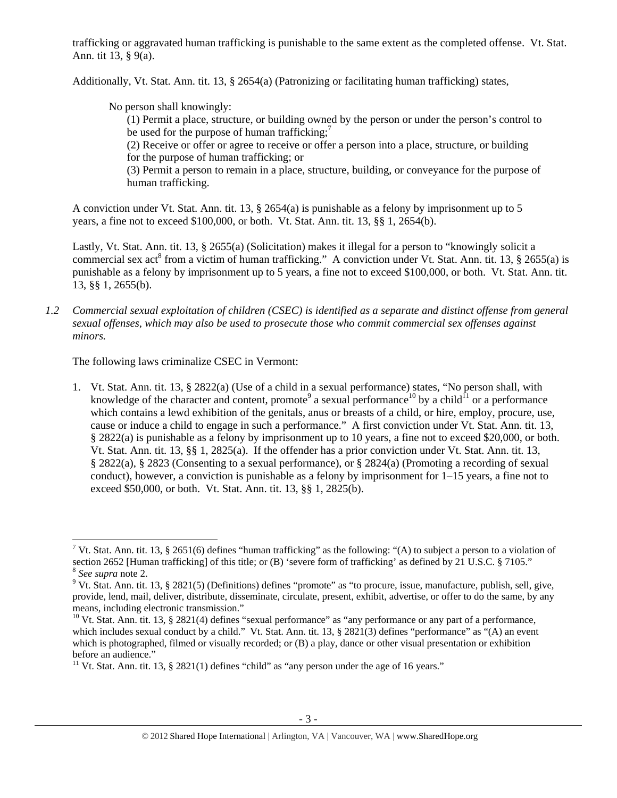trafficking or aggravated human trafficking is punishable to the same extent as the completed offense. Vt. Stat. Ann. tit 13, § 9(a).

Additionally, Vt. Stat. Ann. tit. 13, § 2654(a) (Patronizing or facilitating human trafficking) states,

No person shall knowingly:

(1) Permit a place, structure, or building owned by the person or under the person's control to be used for the purpose of human trafficking;<sup>7</sup>

(2) Receive or offer or agree to receive or offer a person into a place, structure, or building for the purpose of human trafficking; or

(3) Permit a person to remain in a place, structure, building, or conveyance for the purpose of human trafficking.

A conviction under Vt. Stat. Ann. tit. 13, § 2654(a) is punishable as a felony by imprisonment up to 5 years, a fine not to exceed \$100,000, or both. Vt. Stat. Ann. tit. 13, §§ 1, 2654(b).

Lastly, Vt. Stat. Ann. tit. 13, § 2655(a) (Solicitation) makes it illegal for a person to "knowingly solicit a commercial sex act<sup>8</sup> from a victim of human trafficking." A conviction under Vt. Stat. Ann. tit. 13, § 2655(a) is punishable as a felony by imprisonment up to 5 years, a fine not to exceed \$100,000, or both. Vt. Stat. Ann. tit. 13, §§ 1, 2655(b).

*1.2 Commercial sexual exploitation of children (CSEC) is identified as a separate and distinct offense from general sexual offenses, which may also be used to prosecute those who commit commercial sex offenses against minors.* 

The following laws criminalize CSEC in Vermont:

1. Vt. Stat. Ann. tit. 13, § 2822(a) (Use of a child in a sexual performance) states, "No person shall, with knowledge of the character and content, promote<sup>9</sup> a sexual performance<sup>10</sup> by a child<sup>11</sup> or a performance which contains a lewd exhibition of the genitals, anus or breasts of a child, or hire, employ, procure, use, cause or induce a child to engage in such a performance." A first conviction under Vt. Stat. Ann. tit. 13, § 2822(a) is punishable as a felony by imprisonment up to 10 years, a fine not to exceed \$20,000, or both. Vt. Stat. Ann. tit. 13, §§ 1, 2825(a). If the offender has a prior conviction under Vt. Stat. Ann. tit. 13, § 2822(a), § 2823 (Consenting to a sexual performance), or § 2824(a) (Promoting a recording of sexual conduct), however, a conviction is punishable as a felony by imprisonment for 1–15 years, a fine not to exceed \$50,000, or both. Vt. Stat. Ann. tit. 13, §§ 1, 2825(b).

<sup>&</sup>lt;sup>7</sup> Vt. Stat. Ann. tit. 13, § 2651(6) defines "human trafficking" as the following: "(A) to subject a person to a violation of section 2652 [Human trafficking] of this title; or (B) 'severe form of trafficking' as defined by 21 U.S.C. § 7105." <sup>8</sup> *See supra* note 2.

 $9$  Vt. Stat. Ann. tit. 13, § 2821(5) (Definitions) defines "promote" as "to procure, issue, manufacture, publish, sell, give, provide, lend, mail, deliver, distribute, disseminate, circulate, present, exhibit, advertise, or offer to do the same, by any means, including electronic transmission."<br><sup>10</sup> Vt. Stat. Ann. tit. 13, § 2821(4) defines "sexual performance" as "any performance or any part of a performance,

which includes sexual conduct by a child." Vt. Stat. Ann. tit. 13, § 2821(3) defines "performance" as "(A) an event which is photographed, filmed or visually recorded; or (B) a play, dance or other visual presentation or exhibition before an audience."

<sup>&</sup>lt;sup>11</sup> Vt. Stat. Ann. tit. 13, § 2821(1) defines "child" as "any person under the age of 16 years."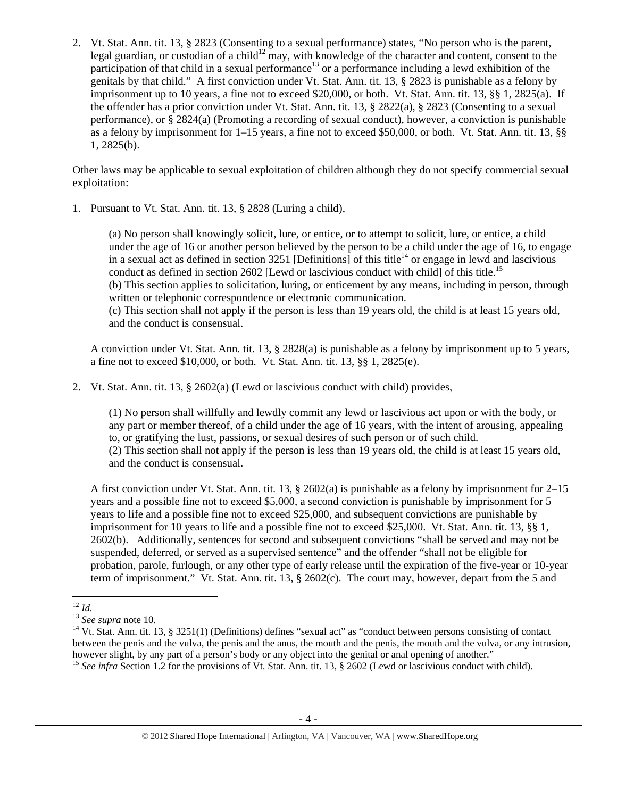2. Vt. Stat. Ann. tit. 13, § 2823 (Consenting to a sexual performance) states, "No person who is the parent, legal guardian, or custodian of a child<sup>12</sup> may, with knowledge of the character and content, consent to the participation of that child in a sexual performance<sup>13</sup> or a performance including a lewd exhibition of the genitals by that child." A first conviction under Vt. Stat. Ann. tit. 13, § 2823 is punishable as a felony by imprisonment up to 10 years, a fine not to exceed \$20,000, or both. Vt. Stat. Ann. tit. 13, §§ 1, 2825(a). If the offender has a prior conviction under Vt. Stat. Ann. tit. 13, § 2822(a), § 2823 (Consenting to a sexual performance), or § 2824(a) (Promoting a recording of sexual conduct), however, a conviction is punishable as a felony by imprisonment for 1–15 years, a fine not to exceed \$50,000, or both. Vt. Stat. Ann. tit. 13, §§ 1, 2825(b).

Other laws may be applicable to sexual exploitation of children although they do not specify commercial sexual exploitation:

1. Pursuant to Vt. Stat. Ann. tit. 13, § 2828 (Luring a child),

(a) No person shall knowingly solicit, lure, or entice, or to attempt to solicit, lure, or entice, a child under the age of 16 or another person believed by the person to be a child under the age of 16, to engage in a sexual act as defined in section  $3251$  [Definitions] of this title<sup>14</sup> or engage in lewd and lascivious conduct as defined in section 2602 [Lewd or lascivious conduct with child] of this title.<sup>15</sup> (b) This section applies to solicitation, luring, or enticement by any means, including in person, through written or telephonic correspondence or electronic communication. (c) This section shall not apply if the person is less than 19 years old, the child is at least 15 years old, and the conduct is consensual.

A conviction under Vt. Stat. Ann. tit. 13, § 2828(a) is punishable as a felony by imprisonment up to 5 years, a fine not to exceed \$10,000, or both. Vt. Stat. Ann. tit. 13, §§ 1, 2825(e).

2. Vt. Stat. Ann. tit. 13, § 2602(a) (Lewd or lascivious conduct with child) provides,

(1) No person shall willfully and lewdly commit any lewd or lascivious act upon or with the body, or any part or member thereof, of a child under the age of 16 years, with the intent of arousing, appealing to, or gratifying the lust, passions, or sexual desires of such person or of such child. (2) This section shall not apply if the person is less than 19 years old, the child is at least 15 years old, and the conduct is consensual.

A first conviction under Vt. Stat. Ann. tit. 13, § 2602(a) is punishable as a felony by imprisonment for 2–15 years and a possible fine not to exceed \$5,000, a second conviction is punishable by imprisonment for 5 years to life and a possible fine not to exceed \$25,000, and subsequent convictions are punishable by imprisonment for 10 years to life and a possible fine not to exceed \$25,000. Vt. Stat. Ann. tit. 13, §§ 1, 2602(b). Additionally, sentences for second and subsequent convictions "shall be served and may not be suspended, deferred, or served as a supervised sentence" and the offender "shall not be eligible for probation, parole, furlough, or any other type of early release until the expiration of the five-year or 10-year term of imprisonment." Vt. Stat. Ann. tit. 13, § 2602(c). The court may, however, depart from the 5 and

<sup>&</sup>lt;sup>12</sup> *Id.*<br><sup>13</sup> *See supra* note 10.<br><sup>14</sup> Vt. Stat. Ann. tit. 13, § 3251(1) (Definitions) defines "sexual act" as "conduct between persons consisting of contact between the penis and the vulva, the penis and the anus, the mouth and the penis, the mouth and the vulva, or any intrusion, however slight, by any part of a person's body or any object into the genital or anal opening of another."

<sup>&</sup>lt;sup>15</sup> See infra Section 1.2 for the provisions of Vt. Stat. Ann. tit. 13, § 2602 (Lewd or lascivious conduct with child).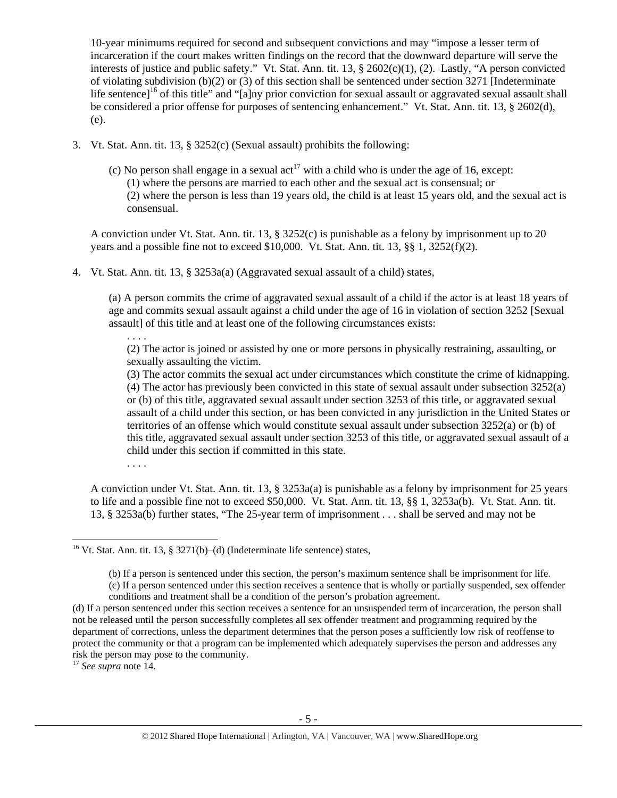10-year minimums required for second and subsequent convictions and may "impose a lesser term of incarceration if the court makes written findings on the record that the downward departure will serve the interests of justice and public safety." Vt. Stat. Ann. tit. 13, § 2602(c)(1), (2). Lastly, "A person convicted of violating subdivision (b)(2) or (3) of this section shall be sentenced under section 3271 [Indeterminate life sentence]<sup>16</sup> of this title" and "[a]ny prior conviction for sexual assault or aggravated sexual assault shall be considered a prior offense for purposes of sentencing enhancement." Vt. Stat. Ann. tit. 13, § 2602(d), (e).

- 3. Vt. Stat. Ann. tit. 13, § 3252(c) (Sexual assault) prohibits the following:
	- (c) No person shall engage in a sexual  $\arctan{17}$  with a child who is under the age of 16, except: (1) where the persons are married to each other and the sexual act is consensual; or (2) where the person is less than 19 years old, the child is at least 15 years old, and the sexual act is consensual.

A conviction under Vt. Stat. Ann. tit. 13, § 3252(c) is punishable as a felony by imprisonment up to 20 years and a possible fine not to exceed  $$10,000$ . Vt. Stat. Ann. tit. 13, §§ 1, 3252(f)(2).

4. Vt. Stat. Ann. tit. 13, § 3253a(a) (Aggravated sexual assault of a child) states,

(a) A person commits the crime of aggravated sexual assault of a child if the actor is at least 18 years of age and commits sexual assault against a child under the age of 16 in violation of section 3252 [Sexual assault] of this title and at least one of the following circumstances exists:

(2) The actor is joined or assisted by one or more persons in physically restraining, assaulting, or sexually assaulting the victim.

(3) The actor commits the sexual act under circumstances which constitute the crime of kidnapping. (4) The actor has previously been convicted in this state of sexual assault under subsection 3252(a) or (b) of this title, aggravated sexual assault under section 3253 of this title, or aggravated sexual assault of a child under this section, or has been convicted in any jurisdiction in the United States or territories of an offense which would constitute sexual assault under subsection 3252(a) or (b) of this title, aggravated sexual assault under section 3253 of this title, or aggravated sexual assault of a child under this section if committed in this state.

. . . .

. . . .

A conviction under Vt. Stat. Ann. tit. 13, § 3253a(a) is punishable as a felony by imprisonment for 25 years to life and a possible fine not to exceed \$50,000. Vt. Stat. Ann. tit. 13, §§ 1, 3253a(b). Vt. Stat. Ann. tit. 13, § 3253a(b) further states, "The 25-year term of imprisonment . . . shall be served and may not be

<sup>17</sup> *See supra* note 14.

<sup>&</sup>lt;sup>16</sup> Vt. Stat. Ann. tit. 13, § 3271(b)–(d) (Indeterminate life sentence) states,

<sup>(</sup>b) If a person is sentenced under this section, the person's maximum sentence shall be imprisonment for life.

<sup>(</sup>c) If a person sentenced under this section receives a sentence that is wholly or partially suspended, sex offender conditions and treatment shall be a condition of the person's probation agreement.

<sup>(</sup>d) If a person sentenced under this section receives a sentence for an unsuspended term of incarceration, the person shall not be released until the person successfully completes all sex offender treatment and programming required by the department of corrections, unless the department determines that the person poses a sufficiently low risk of reoffense to protect the community or that a program can be implemented which adequately supervises the person and addresses any risk the person may pose to the community.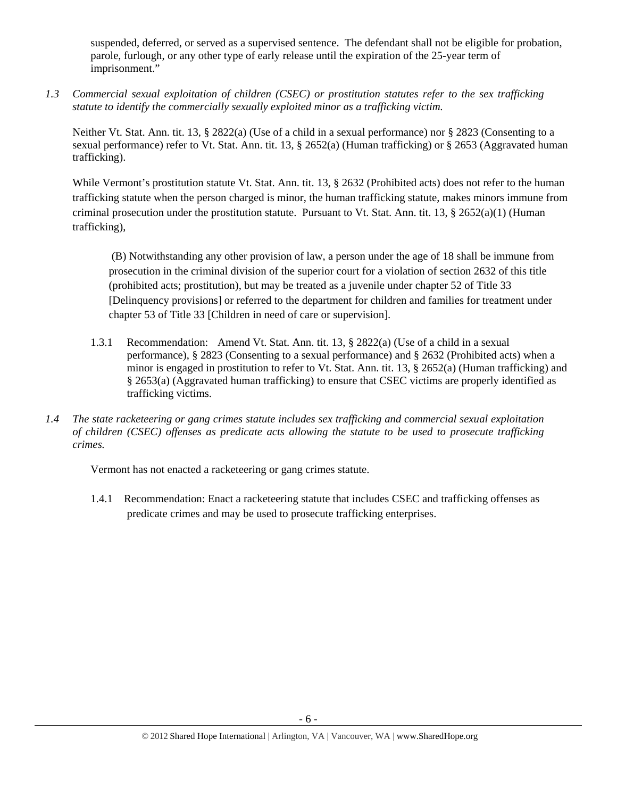suspended, deferred, or served as a supervised sentence. The defendant shall not be eligible for probation, parole, furlough, or any other type of early release until the expiration of the 25-year term of imprisonment."

*1.3 Commercial sexual exploitation of children (CSEC) or prostitution statutes refer to the sex trafficking statute to identify the commercially sexually exploited minor as a trafficking victim.* 

Neither Vt. Stat. Ann. tit. 13, § 2822(a) (Use of a child in a sexual performance) nor § 2823 (Consenting to a sexual performance) refer to Vt. Stat. Ann. tit. 13, § 2652(a) (Human trafficking) or § 2653 (Aggravated human trafficking).

While Vermont's prostitution statute Vt. Stat. Ann. tit. 13, § 2632 (Prohibited acts) does not refer to the human trafficking statute when the person charged is minor, the human trafficking statute, makes minors immune from criminal prosecution under the prostitution statute. Pursuant to Vt. Stat. Ann. tit. 13, § 2652(a)(1) (Human trafficking),

 (B) Notwithstanding any other provision of law, a person under the age of 18 shall be immune from prosecution in the criminal division of the superior court for a violation of section 2632 of this title (prohibited acts; prostitution), but may be treated as a juvenile under chapter 52 of Title 33 [Delinquency provisions] or referred to the department for children and families for treatment under chapter 53 of Title 33 [Children in need of care or supervision].

- 1.3.1 Recommendation: Amend Vt. Stat. Ann. tit. 13, § 2822(a) (Use of a child in a sexual performance), § 2823 (Consenting to a sexual performance) and § 2632 (Prohibited acts) when a minor is engaged in prostitution to refer to Vt. Stat. Ann. tit. 13, § 2652(a) (Human trafficking) and § 2653(a) (Aggravated human trafficking) to ensure that CSEC victims are properly identified as trafficking victims.
- *1.4 The state racketeering or gang crimes statute includes sex trafficking and commercial sexual exploitation of children (CSEC) offenses as predicate acts allowing the statute to be used to prosecute trafficking crimes.*

Vermont has not enacted a racketeering or gang crimes statute.

1.4.1 Recommendation: Enact a racketeering statute that includes CSEC and trafficking offenses as predicate crimes and may be used to prosecute trafficking enterprises.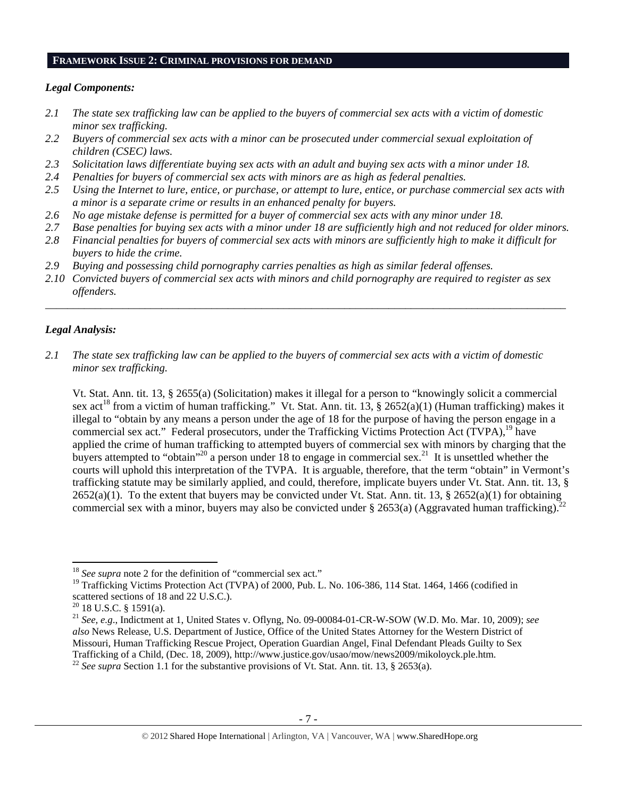#### **FRAMEWORK ISSUE 2: CRIMINAL PROVISIONS FOR DEMAND**

#### *Legal Components:*

- *2.1 The state sex trafficking law can be applied to the buyers of commercial sex acts with a victim of domestic minor sex trafficking.*
- *2.2 Buyers of commercial sex acts with a minor can be prosecuted under commercial sexual exploitation of children (CSEC) laws.*
- *2.3 Solicitation laws differentiate buying sex acts with an adult and buying sex acts with a minor under 18.*
- *2.4 Penalties for buyers of commercial sex acts with minors are as high as federal penalties.*
- *2.5 Using the Internet to lure, entice, or purchase, or attempt to lure, entice, or purchase commercial sex acts with a minor is a separate crime or results in an enhanced penalty for buyers.*
- *2.6 No age mistake defense is permitted for a buyer of commercial sex acts with any minor under 18.*
- *2.7 Base penalties for buying sex acts with a minor under 18 are sufficiently high and not reduced for older minors.*
- *2.8 Financial penalties for buyers of commercial sex acts with minors are sufficiently high to make it difficult for buyers to hide the crime.*
- *2.9 Buying and possessing child pornography carries penalties as high as similar federal offenses.*
- *2.10 Convicted buyers of commercial sex acts with minors and child pornography are required to register as sex offenders.*

\_\_\_\_\_\_\_\_\_\_\_\_\_\_\_\_\_\_\_\_\_\_\_\_\_\_\_\_\_\_\_\_\_\_\_\_\_\_\_\_\_\_\_\_\_\_\_\_\_\_\_\_\_\_\_\_\_\_\_\_\_\_\_\_\_\_\_\_\_\_\_\_\_\_\_\_\_\_\_\_\_\_\_\_\_\_\_\_\_\_\_\_\_\_

## *Legal Analysis:*

*2.1 The state sex trafficking law can be applied to the buyers of commercial sex acts with a victim of domestic minor sex trafficking.* 

Vt. Stat. Ann. tit. 13, § 2655(a) (Solicitation) makes it illegal for a person to "knowingly solicit a commercial sex act<sup>18</sup> from a victim of human trafficking." Vt. Stat. Ann. tit. 13, § 2652(a)(1) (Human trafficking) makes it illegal to "obtain by any means a person under the age of 18 for the purpose of having the person engage in a commercial sex act." Federal prosecutors, under the Trafficking Victims Protection Act (TVPA),<sup>19</sup> have applied the crime of human trafficking to attempted buyers of commercial sex with minors by charging that the buyers attempted to "obtain"<sup>20</sup> a person under 18 to engage in commercial sex.<sup>21</sup> It is unsettled whether the courts will uphold this interpretation of the TVPA. It is arguable, therefore, that the term "obtain" in Vermont's trafficking statute may be similarly applied, and could, therefore, implicate buyers under Vt. Stat. Ann. tit. 13, §  $2652(a)(1)$ . To the extent that buyers may be convicted under Vt. Stat. Ann. tit. 13, §  $2652(a)(1)$  for obtaining commercial sex with a minor, buyers may also be convicted under § 2653(a) (Aggravated human trafficking).<sup>22</sup>

 <sup>18</sup> See supra note 2 for the definition of "commercial sex act."

<sup>&</sup>lt;sup>19</sup> Trafficking Victims Protection Act (TVPA) of 2000, Pub. L. No. 106-386, 114 Stat. 1464, 1466 (codified in scattered sections of 18 and 22 U.S.C.).

 $20$  18 U.S.C. § 1591(a).

<sup>21</sup> *See, e.g*., Indictment at 1, United States v. Oflyng, No. 09-00084-01-CR-W-SOW (W.D. Mo. Mar. 10, 2009); *see also* News Release, U.S. Department of Justice, Office of the United States Attorney for the Western District of Missouri, Human Trafficking Rescue Project, Operation Guardian Angel, Final Defendant Pleads Guilty to Sex Trafficking of a Child, (Dec. 18, 2009), http://www.justice.gov/usao/mow/news2009/mikoloyck.ple.htm. 22 *See supra* Section 1.1 for the substantive provisions of Vt. Stat. Ann. tit. 13, § 2653(a).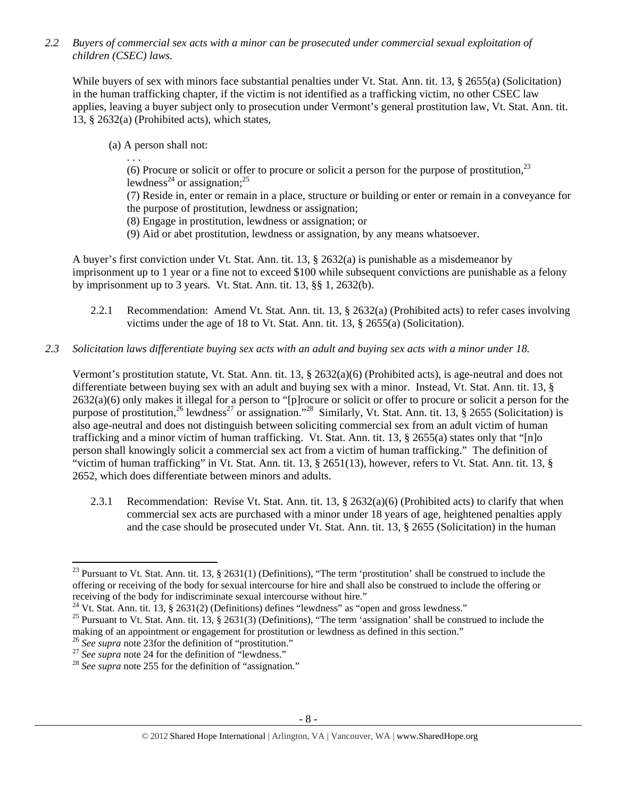*2.2 Buyers of commercial sex acts with a minor can be prosecuted under commercial sexual exploitation of children (CSEC) laws.* 

While buyers of sex with minors face substantial penalties under Vt. Stat. Ann. tit. 13, § 2655(a) (Solicitation) in the human trafficking chapter, if the victim is not identified as a trafficking victim, no other CSEC law applies, leaving a buyer subject only to prosecution under Vermont's general prostitution law, Vt. Stat. Ann. tit. 13, § 2632(a) (Prohibited acts), which states,

(a) A person shall not:

. . . (6) Procure or solicit or offer to procure or solicit a person for the purpose of prostitution,  $^{23}$ lewdness<sup>24</sup> or assignation;<sup>25</sup>

(7) Reside in, enter or remain in a place, structure or building or enter or remain in a conveyance for the purpose of prostitution, lewdness or assignation;

- (8) Engage in prostitution, lewdness or assignation; or
- (9) Aid or abet prostitution, lewdness or assignation, by any means whatsoever.

A buyer's first conviction under Vt. Stat. Ann. tit. 13, § 2632(a) is punishable as a misdemeanor by imprisonment up to 1 year or a fine not to exceed \$100 while subsequent convictions are punishable as a felony by imprisonment up to 3 years. Vt. Stat. Ann. tit. 13, §§ 1, 2632(b).

- 2.2.1 Recommendation: Amend Vt. Stat. Ann. tit. 13, § 2632(a) (Prohibited acts) to refer cases involving victims under the age of 18 to Vt. Stat. Ann. tit. 13, § 2655(a) (Solicitation).
- *2.3 Solicitation laws differentiate buying sex acts with an adult and buying sex acts with a minor under 18.*

Vermont's prostitution statute, Vt. Stat. Ann. tit. 13, § 2632(a)(6) (Prohibited acts), is age-neutral and does not differentiate between buying sex with an adult and buying sex with a minor. Instead, Vt. Stat. Ann. tit. 13, § 2632(a)(6) only makes it illegal for a person to "[p]rocure or solicit or offer to procure or solicit a person for the purpose of prostitution,<sup>26</sup> lewdness<sup>27</sup> or assignation."<sup>28</sup> Similarly, Vt. Stat. Ann. tit. 13, § 2655 (Solicitation) is also age-neutral and does not distinguish between soliciting commercial sex from an adult victim of human trafficking and a minor victim of human trafficking. Vt. Stat. Ann. tit. 13, § 2655(a) states only that "[n]o person shall knowingly solicit a commercial sex act from a victim of human trafficking." The definition of "victim of human trafficking" in Vt. Stat. Ann. tit. 13, § 2651(13), however, refers to Vt. Stat. Ann. tit. 13, § 2652, which does differentiate between minors and adults.

2.3.1 Recommendation: Revise Vt. Stat. Ann. tit. 13,  $\S$  2632(a)(6) (Prohibited acts) to clarify that when commercial sex acts are purchased with a minor under 18 years of age, heightened penalties apply and the case should be prosecuted under Vt. Stat. Ann. tit. 13, § 2655 (Solicitation) in the human

<sup>&</sup>lt;sup>23</sup> Pursuant to Vt. Stat. Ann. tit. 13, § 2631(1) (Definitions), "The term 'prostitution' shall be construed to include the offering or receiving of the body for sexual intercourse for hire and shall also be construed to include the offering or

<sup>&</sup>lt;sup>24</sup> Vt. Stat. Ann. tit. 13, § 2631(2) (Definitions) defines "lewdness" as "open and gross lewdness."<br><sup>25</sup> Pursuant to Vt. Stat. Ann. tit. 13, § 2631(3) (Definitions), "The term 'assignation' shall be construed to include making of an appointment or engagement for prostitution or lewdness as defined in this section."<br><sup>26</sup> See supra note 23for the definition of "prostitution."

<sup>&</sup>lt;sup>27</sup> *See supra* note 24 for the definition of "lewdness." <sup>28</sup> *See supra* note 255 for the definition of "assignation."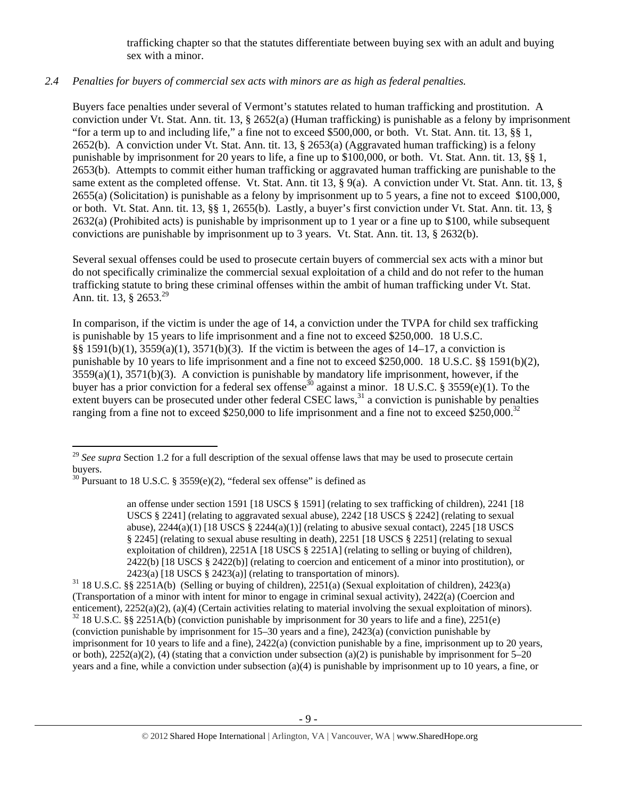trafficking chapter so that the statutes differentiate between buying sex with an adult and buying sex with a minor.

# *2.4 Penalties for buyers of commercial sex acts with minors are as high as federal penalties.*

Buyers face penalties under several of Vermont's statutes related to human trafficking and prostitution. A conviction under Vt. Stat. Ann. tit. 13, § 2652(a) (Human trafficking) is punishable as a felony by imprisonment "for a term up to and including life," a fine not to exceed \$500,000, or both. Vt. Stat. Ann. tit. 13, §§ 1, 2652(b). A conviction under Vt. Stat. Ann. tit. 13, § 2653(a) (Aggravated human trafficking) is a felony punishable by imprisonment for 20 years to life, a fine up to \$100,000, or both. Vt. Stat. Ann. tit. 13, §§ 1, 2653(b). Attempts to commit either human trafficking or aggravated human trafficking are punishable to the same extent as the completed offense. Vt. Stat. Ann. tit 13, § 9(a). A conviction under Vt. Stat. Ann. tit. 13, § 2655(a) (Solicitation) is punishable as a felony by imprisonment up to 5 years, a fine not to exceed \$100,000, or both. Vt. Stat. Ann. tit. 13, §§ 1, 2655(b). Lastly, a buyer's first conviction under Vt. Stat. Ann. tit. 13, § 2632(a) (Prohibited acts) is punishable by imprisonment up to 1 year or a fine up to \$100, while subsequent convictions are punishable by imprisonment up to 3 years. Vt. Stat. Ann. tit. 13, § 2632(b).

Several sexual offenses could be used to prosecute certain buyers of commercial sex acts with a minor but do not specifically criminalize the commercial sexual exploitation of a child and do not refer to the human trafficking statute to bring these criminal offenses within the ambit of human trafficking under Vt. Stat. Ann. tit. 13,  $\S 2653.<sup>29</sup>$ 

In comparison, if the victim is under the age of 14, a conviction under the TVPA for child sex trafficking is punishable by 15 years to life imprisonment and a fine not to exceed \$250,000. 18 U.S.C. §§ 1591(b)(1), 3559(a)(1), 3571(b)(3). If the victim is between the ages of 14–17, a conviction is punishable by 10 years to life imprisonment and a fine not to exceed \$250,000. 18 U.S.C. §§ 1591(b)(2),  $3559(a)(1)$ ,  $3571(b)(3)$ . A conviction is punishable by mandatory life imprisonment, however, if the buyer has a prior conviction for a federal sex offense<sup>30</sup> against a minor. 18 U.S.C. § 3559(e)(1). To the extent buyers can be prosecuted under other federal CSEC laws,  $31$  a conviction is punishable by penalties ranging from a fine not to exceed \$250,000 to life imprisonment and a fine not to exceed \$250,000.<sup>32</sup>

 <sup>29</sup> See supra Section 1.2 for a full description of the sexual offense laws that may be used to prosecute certain buyers.

<sup>&</sup>lt;sup>30</sup> Pursuant to 18 U.S.C. § 3559(e)(2), "federal sex offense" is defined as

an offense under section 1591 [18 USCS § 1591] (relating to sex trafficking of children), 2241 [18 USCS § 2241] (relating to aggravated sexual abuse), 2242 [18 USCS § 2242] (relating to sexual abuse),  $2244(a)(1)$  [18 USCS §  $2244(a)(1)$ ] (relating to abusive sexual contact),  $2245$  [18 USCS § 2245] (relating to sexual abuse resulting in death), 2251 [18 USCS § 2251] (relating to sexual exploitation of children), 2251A [18 USCS § 2251A] (relating to selling or buying of children), 2422(b) [18 USCS § 2422(b)] (relating to coercion and enticement of a minor into prostitution), or

<sup>2423(</sup>a) [18 USCS § 2423(a)] (relating to transportation of minors).<br><sup>31</sup> 18 U.S.C. §§ 2251A(b) (Selling or buying of children), 2251(a) (Sexual exploitation of children), 2423(a) (Transportation of a minor with intent for minor to engage in criminal sexual activity), 2422(a) (Coercion and enticement), 2252(a)(2), (a)(4) (Certain activities relating to material involving the sexual exploitation of minors). <sup>32</sup> 18 U.S.C. §§ 2251A(b) (conviction punishable by imprisonment for 30 years to life and a fine), 22 (conviction punishable by imprisonment for 15–30 years and a fine), 2423(a) (conviction punishable by imprisonment for 10 years to life and a fine), 2422(a) (conviction punishable by a fine, imprisonment up to 20 years, or both),  $2252(a)(2)$ , (4) (stating that a conviction under subsection (a)(2) is punishable by imprisonment for 5–20 years and a fine, while a conviction under subsection (a)(4) is punishable by imprisonment up to 10 years, a fine, or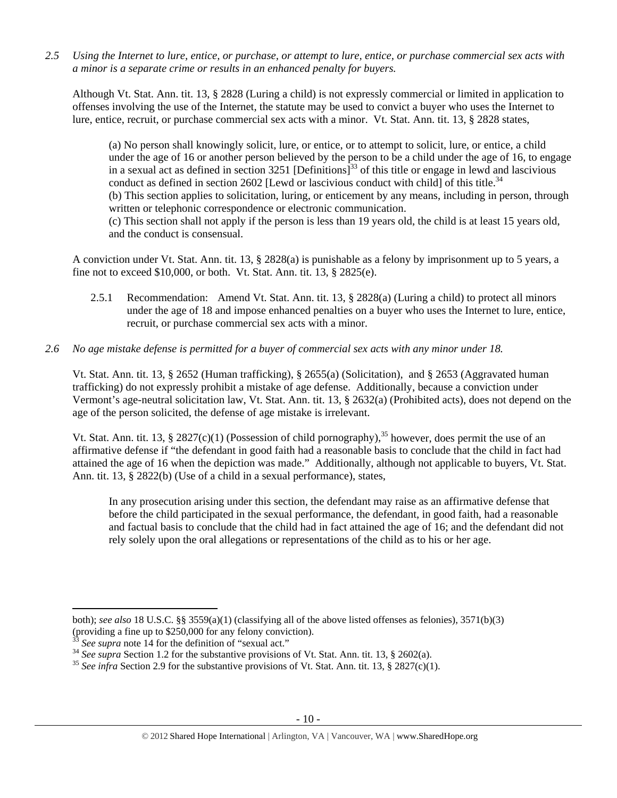*2.5 Using the Internet to lure, entice, or purchase, or attempt to lure, entice, or purchase commercial sex acts with a minor is a separate crime or results in an enhanced penalty for buyers.* 

Although Vt. Stat. Ann. tit. 13, § 2828 (Luring a child) is not expressly commercial or limited in application to offenses involving the use of the Internet, the statute may be used to convict a buyer who uses the Internet to lure, entice, recruit, or purchase commercial sex acts with a minor. Vt. Stat. Ann. tit. 13, § 2828 states,

(a) No person shall knowingly solicit, lure, or entice, or to attempt to solicit, lure, or entice, a child under the age of 16 or another person believed by the person to be a child under the age of 16, to engage in a sexual act as defined in section 3251 [Definitions]<sup>33</sup> of this title or engage in lewd and lascivious conduct as defined in section 2602 [Lewd or lascivious conduct with child] of this title.<sup>34</sup> (b) This section applies to solicitation, luring, or enticement by any means, including in person, through written or telephonic correspondence or electronic communication. (c) This section shall not apply if the person is less than 19 years old, the child is at least 15 years old, and the conduct is consensual.

A conviction under Vt. Stat. Ann. tit. 13, § 2828(a) is punishable as a felony by imprisonment up to 5 years, a fine not to exceed \$10,000, or both. Vt. Stat. Ann. tit. 13, § 2825(e).

2.5.1 Recommendation: Amend Vt. Stat. Ann. tit. 13, § 2828(a) (Luring a child) to protect all minors under the age of 18 and impose enhanced penalties on a buyer who uses the Internet to lure, entice, recruit, or purchase commercial sex acts with a minor.

## *2.6 No age mistake defense is permitted for a buyer of commercial sex acts with any minor under 18.*

Vt. Stat. Ann. tit. 13, § 2652 (Human trafficking), § 2655(a) (Solicitation), and § 2653 (Aggravated human trafficking) do not expressly prohibit a mistake of age defense. Additionally, because a conviction under Vermont's age-neutral solicitation law, Vt. Stat. Ann. tit. 13, § 2632(a) (Prohibited acts), does not depend on the age of the person solicited, the defense of age mistake is irrelevant.

Vt. Stat. Ann. tit. 13, § 2827(c)(1) (Possession of child pornography),<sup>35</sup> however, does permit the use of an affirmative defense if "the defendant in good faith had a reasonable basis to conclude that the child in fact had attained the age of 16 when the depiction was made." Additionally, although not applicable to buyers, Vt. Stat. Ann. tit. 13, § 2822(b) (Use of a child in a sexual performance), states,

In any prosecution arising under this section, the defendant may raise as an affirmative defense that before the child participated in the sexual performance, the defendant, in good faith, had a reasonable and factual basis to conclude that the child had in fact attained the age of 16; and the defendant did not rely solely upon the oral allegations or representations of the child as to his or her age.

both); *see also* 18 U.S.C. §§ 3559(a)(1) (classifying all of the above listed offenses as felonies), 3571(b)(3) (providing a fine up to \$250,000 for any felony conviction).<br> $33$  See supra note 14 for the definition of "sexual act."

<sup>&</sup>lt;sup>34</sup> See supra Section 1.2 for the substantive provisions of Vt. Stat. Ann. tit. 13, § 2602(a).<br><sup>35</sup> See infra Section 2.9 for the substantive provisions of Vt. Stat. Ann. tit. 13, § 2827(c)(1).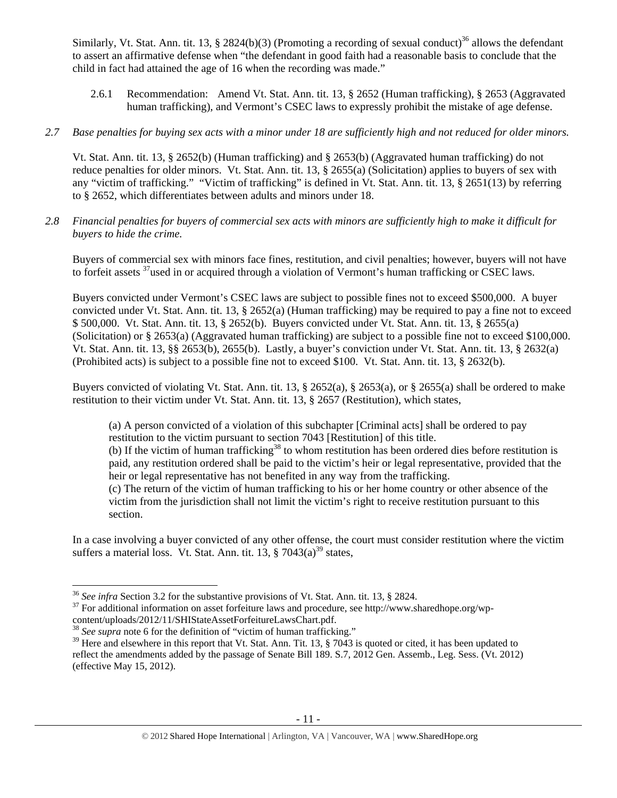Similarly, Vt. Stat. Ann. tit. 13, § 2824(b)(3) (Promoting a recording of sexual conduct)<sup>36</sup> allows the defendant to assert an affirmative defense when "the defendant in good faith had a reasonable basis to conclude that the child in fact had attained the age of 16 when the recording was made."

- 2.6.1 Recommendation: Amend Vt. Stat. Ann. tit. 13, § 2652 (Human trafficking), § 2653 (Aggravated human trafficking), and Vermont's CSEC laws to expressly prohibit the mistake of age defense.
- *2.7 Base penalties for buying sex acts with a minor under 18 are sufficiently high and not reduced for older minors.*

Vt. Stat. Ann. tit. 13, § 2652(b) (Human trafficking) and § 2653(b) (Aggravated human trafficking) do not reduce penalties for older minors. Vt. Stat. Ann. tit. 13, § 2655(a) (Solicitation) applies to buyers of sex with any "victim of trafficking." "Victim of trafficking" is defined in Vt. Stat. Ann. tit. 13, § 2651(13) by referring to § 2652, which differentiates between adults and minors under 18.

*2.8 Financial penalties for buyers of commercial sex acts with minors are sufficiently high to make it difficult for buyers to hide the crime.* 

Buyers of commercial sex with minors face fines, restitution, and civil penalties; however, buyers will not have to forfeit assets 37used in or acquired through a violation of Vermont's human trafficking or CSEC laws.

Buyers convicted under Vermont's CSEC laws are subject to possible fines not to exceed \$500,000. A buyer convicted under Vt. Stat. Ann. tit. 13, § 2652(a) (Human trafficking) may be required to pay a fine not to exceed \$ 500,000. Vt. Stat. Ann. tit. 13, § 2652(b). Buyers convicted under Vt. Stat. Ann. tit. 13, § 2655(a) (Solicitation) or § 2653(a) (Aggravated human trafficking) are subject to a possible fine not to exceed \$100,000. Vt. Stat. Ann. tit. 13, §§ 2653(b), 2655(b). Lastly, a buyer's conviction under Vt. Stat. Ann. tit. 13, § 2632(a) (Prohibited acts) is subject to a possible fine not to exceed \$100. Vt. Stat. Ann. tit. 13, § 2632(b).

Buyers convicted of violating Vt. Stat. Ann. tit. 13, § 2652(a), § 2653(a), or § 2655(a) shall be ordered to make restitution to their victim under Vt. Stat. Ann. tit. 13, § 2657 (Restitution), which states,

(a) A person convicted of a violation of this subchapter [Criminal acts] shall be ordered to pay restitution to the victim pursuant to section 7043 [Restitution] of this title.

(b) If the victim of human trafficking<sup>38</sup> to whom restitution has been ordered dies before restitution is paid, any restitution ordered shall be paid to the victim's heir or legal representative, provided that the heir or legal representative has not benefited in any way from the trafficking.

(c) The return of the victim of human trafficking to his or her home country or other absence of the victim from the jurisdiction shall not limit the victim's right to receive restitution pursuant to this section.

In a case involving a buyer convicted of any other offense, the court must consider restitution where the victim suffers a material loss. Vt. Stat. Ann. tit. 13,  $\S$  7043(a)<sup>39</sup> states,

<sup>&</sup>lt;sup>36</sup> See infra Section 3.2 for the substantive provisions of Vt. Stat. Ann. tit. 13, § 2824.

<sup>&</sup>lt;sup>37</sup> For additional information on asset forfeiture laws and procedure, see http://www.sharedhope.org/wp-content/uploads/2012/11/SHIStateAssetForfeitureLawsChart.pdf.

<sup>&</sup>lt;sup>38</sup> See supra note 6 for the definition of "victim of human trafficking."

 $39$  Here and elsewhere in this report that Vt. Stat. Ann. Tit. 13, § 7043 is quoted or cited, it has been updated to reflect the amendments added by the passage of Senate Bill 189. S.7, 2012 Gen. Assemb., Leg. Sess. (Vt. 2012) (effective May 15, 2012).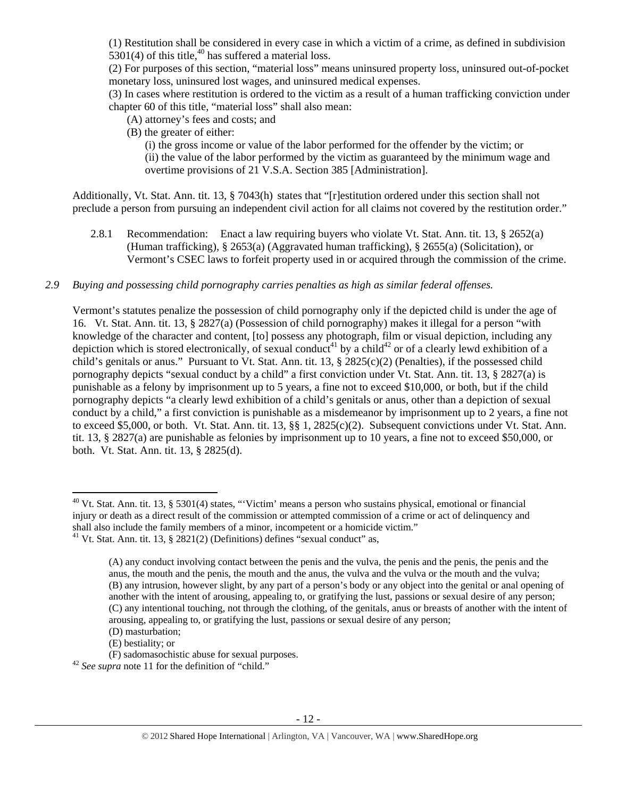(1) Restitution shall be considered in every case in which a victim of a crime, as defined in subdivision  $5301(4)$  of this title,  $40$  has suffered a material loss.

(2) For purposes of this section, "material loss" means uninsured property loss, uninsured out-of-pocket monetary loss, uninsured lost wages, and uninsured medical expenses.

(3) In cases where restitution is ordered to the victim as a result of a human trafficking conviction under chapter 60 of this title, "material loss" shall also mean:

(A) attorney's fees and costs; and

(B) the greater of either:

(i) the gross income or value of the labor performed for the offender by the victim; or (ii) the value of the labor performed by the victim as guaranteed by the minimum wage and overtime provisions of 21 V.S.A. Section 385 [Administration].

Additionally, Vt. Stat. Ann. tit. 13, § 7043(h) states that "[r]estitution ordered under this section shall not preclude a person from pursuing an independent civil action for all claims not covered by the restitution order."

2.8.1 Recommendation: Enact a law requiring buyers who violate Vt. Stat. Ann. tit. 13, § 2652(a) (Human trafficking), § 2653(a) (Aggravated human trafficking), § 2655(a) (Solicitation), or Vermont's CSEC laws to forfeit property used in or acquired through the commission of the crime.

# *2.9 Buying and possessing child pornography carries penalties as high as similar federal offenses.*

Vermont's statutes penalize the possession of child pornography only if the depicted child is under the age of 16. Vt. Stat. Ann. tit. 13, § 2827(a) (Possession of child pornography) makes it illegal for a person "with knowledge of the character and content, [to] possess any photograph, film or visual depiction, including any depiction which is stored electronically, of sexual conduct<sup>41</sup> by a child<sup>42</sup> or of a clearly lewd exhibition of a child's genitals or anus." Pursuant to Vt. Stat. Ann. tit. 13, § 2825(c)(2) (Penalties), if the possessed child pornography depicts "sexual conduct by a child" a first conviction under Vt. Stat. Ann. tit. 13, § 2827(a) is punishable as a felony by imprisonment up to 5 years, a fine not to exceed \$10,000, or both, but if the child pornography depicts "a clearly lewd exhibition of a child's genitals or anus, other than a depiction of sexual conduct by a child," a first conviction is punishable as a misdemeanor by imprisonment up to 2 years, a fine not to exceed \$5,000, or both. Vt. Stat. Ann. tit.  $13, \S\S 1, 2825(c)(2)$ . Subsequent convictions under Vt. Stat. Ann. tit. 13, § 2827(a) are punishable as felonies by imprisonment up to 10 years, a fine not to exceed \$50,000, or both. Vt. Stat. Ann. tit. 13, § 2825(d).

(E) bestiality; or

<sup>42</sup> See supra note 11 for the definition of "child."

 $40$  Vt. Stat. Ann. tit. 13, § 5301(4) states, "'Victim' means a person who sustains physical, emotional or financial injury or death as a direct result of the commission or attempted commission of a crime or act of delinquency and shall also include the family members of a minor, incompetent or a homicide victim."<br><sup>41</sup> Vt. Stat. Ann. tit. 13, § 2821(2) (Definitions) defines "sexual conduct" as,

<sup>(</sup>A) any conduct involving contact between the penis and the vulva, the penis and the penis, the penis and the anus, the mouth and the penis, the mouth and the anus, the vulva and the vulva or the mouth and the vulva; (B) any intrusion, however slight, by any part of a person's body or any object into the genital or anal opening of another with the intent of arousing, appealing to, or gratifying the lust, passions or sexual desire of any person; (C) any intentional touching, not through the clothing, of the genitals, anus or breasts of another with the intent of arousing, appealing to, or gratifying the lust, passions or sexual desire of any person;

<sup>(</sup>D) masturbation;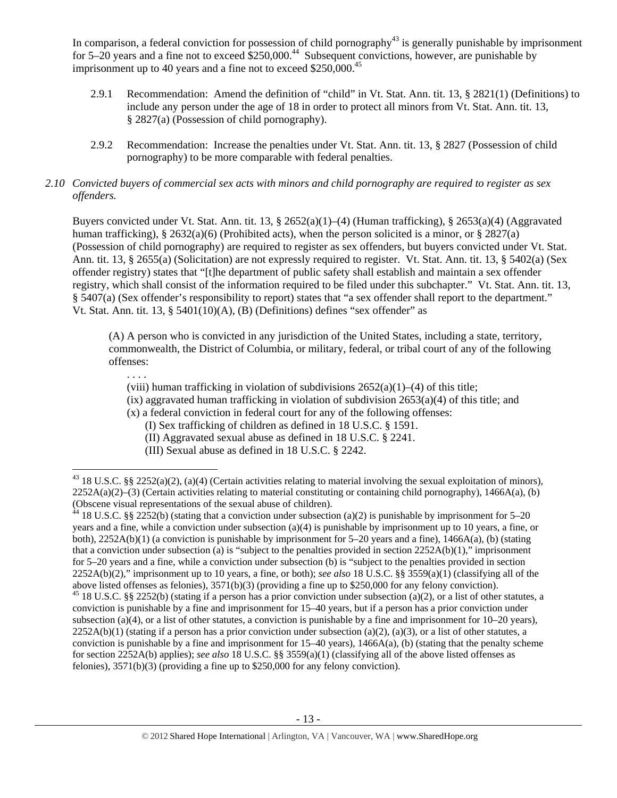In comparison, a federal conviction for possession of child pornography $43$  is generally punishable by imprisonment for  $5-20$  years and a fine not to exceed  $$250,000.<sup>44</sup>$  Subsequent convictions, however, are punishable by imprisonment up to 40 years and a fine not to exceed  $$250,000.<sup>45</sup>$ 

- 2.9.1 Recommendation: Amend the definition of "child" in Vt. Stat. Ann. tit. 13, § 2821(1) (Definitions) to include any person under the age of 18 in order to protect all minors from Vt. Stat. Ann. tit. 13, § 2827(a) (Possession of child pornography).
- 2.9.2 Recommendation: Increase the penalties under Vt. Stat. Ann. tit. 13, § 2827 (Possession of child pornography) to be more comparable with federal penalties.

# *2.10 Convicted buyers of commercial sex acts with minors and child pornography are required to register as sex offenders.*

Buyers convicted under Vt. Stat. Ann. tit. 13, § 2652(a)(1)–(4) (Human trafficking), § 2653(a)(4) (Aggravated human trafficking), § 2632(a)(6) (Prohibited acts), when the person solicited is a minor, or § 2827(a) (Possession of child pornography) are required to register as sex offenders, but buyers convicted under Vt. Stat. Ann. tit. 13, § 2655(a) (Solicitation) are not expressly required to register. Vt. Stat. Ann. tit. 13, § 5402(a) (Sex offender registry) states that "[t]he department of public safety shall establish and maintain a sex offender registry, which shall consist of the information required to be filed under this subchapter." Vt. Stat. Ann. tit. 13, § 5407(a) (Sex offender's responsibility to report) states that "a sex offender shall report to the department." Vt. Stat. Ann. tit. 13, § 5401(10)(A), (B) (Definitions) defines "sex offender" as

(A) A person who is convicted in any jurisdiction of the United States, including a state, territory, commonwealth, the District of Columbia, or military, federal, or tribal court of any of the following offenses:

. . . .

(viii) human trafficking in violation of subdivisions  $2652(a)(1)–(4)$  of this title;

- $(ix)$  aggravated human trafficking in violation of subdivision  $2653(a)(4)$  of this title; and
- (x) a federal conviction in federal court for any of the following offenses:

(I) Sex trafficking of children as defined in 18 U.S.C. § 1591.

(II) Aggravated sexual abuse as defined in 18 U.S.C. § 2241.

<sup>(</sup>III) Sexual abuse as defined in 18 U.S.C. § 2242.

 <sup>43</sup> 18 U.S.C. §§ 2252(a)(2), (a)(4) (Certain activities relating to material involving the sexual exploitation of minors),  $2252A(a)(2)$ –(3) (Certain activities relating to material constituting or containing child pornography), 1466A(a), (b) (Obscene visual representations of the sexual abuse of children).

<sup>&</sup>lt;sup>44</sup> 18 U.S.C. §§ 2252(b) (stating that a conviction under subsection (a)(2) is punishable by imprisonment for 5–20 years and a fine, while a conviction under subsection (a)(4) is punishable by imprisonment up to 10 years, a fine, or both), 2252A(b)(1) (a conviction is punishable by imprisonment for 5–20 years and a fine), 1466A(a), (b) (stating that a conviction under subsection (a) is "subject to the penalties provided in section  $2252A(b)(1)$ ," imprisonment for 5–20 years and a fine, while a conviction under subsection (b) is "subject to the penalties provided in section 2252A(b)(2)," imprisonment up to 10 years, a fine, or both); *see also* 18 U.S.C. §§ 3559(a)(1) (classifying all of the above listed offenses as felonies), 3571(b)(3) (providing a fine up to \$250,000 for any felony conviction).

<sup>&</sup>lt;sup>45</sup> 18 U.S.C. §§ 2252(b) (stating if a person has a prior conviction under subsection (a)(2), or a list of other statutes, a conviction is punishable by a fine and imprisonment for 15–40 years, but if a person has a prior conviction under subsection (a)(4), or a list of other statutes, a conviction is punishable by a fine and imprisonment for  $10-20$  years),  $2252A(b)(1)$  (stating if a person has a prior conviction under subsection (a)(2), (a)(3), or a list of other statutes, a conviction is punishable by a fine and imprisonment for  $15-40$  years),  $1466A(a)$ , (b) (stating that the penalty scheme for section 2252A(b) applies); *see also* 18 U.S.C. §§ 3559(a)(1) (classifying all of the above listed offenses as felonies), 3571(b)(3) (providing a fine up to \$250,000 for any felony conviction).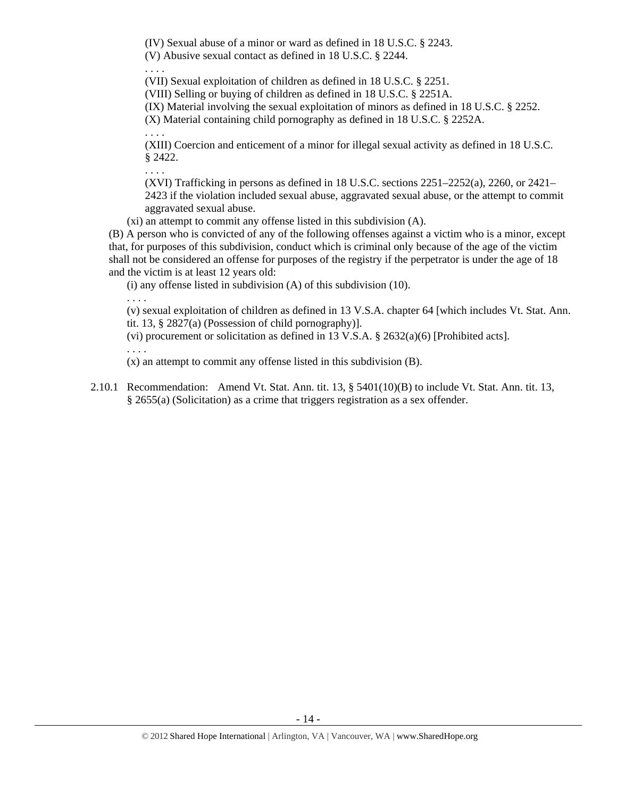(IV) Sexual abuse of a minor or ward as defined in 18 U.S.C. § 2243.

(V) Abusive sexual contact as defined in 18 U.S.C. § 2244.

. . . .

(VII) Sexual exploitation of children as defined in 18 U.S.C. § 2251.

(VIII) Selling or buying of children as defined in 18 U.S.C. § 2251A.

(IX) Material involving the sexual exploitation of minors as defined in 18 U.S.C. § 2252.

(X) Material containing child pornography as defined in 18 U.S.C. § 2252A.

(XIII) Coercion and enticement of a minor for illegal sexual activity as defined in 18 U.S.C. § 2422.

. . . .

. . . .

(XVI) Trafficking in persons as defined in 18 U.S.C. sections 2251–2252(a), 2260, or 2421– 2423 if the violation included sexual abuse, aggravated sexual abuse, or the attempt to commit aggravated sexual abuse.

(xi) an attempt to commit any offense listed in this subdivision (A).

(B) A person who is convicted of any of the following offenses against a victim who is a minor, except that, for purposes of this subdivision, conduct which is criminal only because of the age of the victim shall not be considered an offense for purposes of the registry if the perpetrator is under the age of 18 and the victim is at least 12 years old:

(i) any offense listed in subdivision (A) of this subdivision (10).

. . . .

(v) sexual exploitation of children as defined in 13 V.S.A. chapter 64 [which includes Vt. Stat. Ann. tit. 13, § 2827(a) (Possession of child pornography)].

(vi) procurement or solicitation as defined in 13 V.S.A. § 2632(a)(6) [Prohibited acts].

. . . .

(x) an attempt to commit any offense listed in this subdivision (B).

2.10.1 Recommendation: Amend Vt. Stat. Ann. tit. 13, § 5401(10)(B) to include Vt. Stat. Ann. tit. 13, § 2655(a) (Solicitation) as a crime that triggers registration as a sex offender.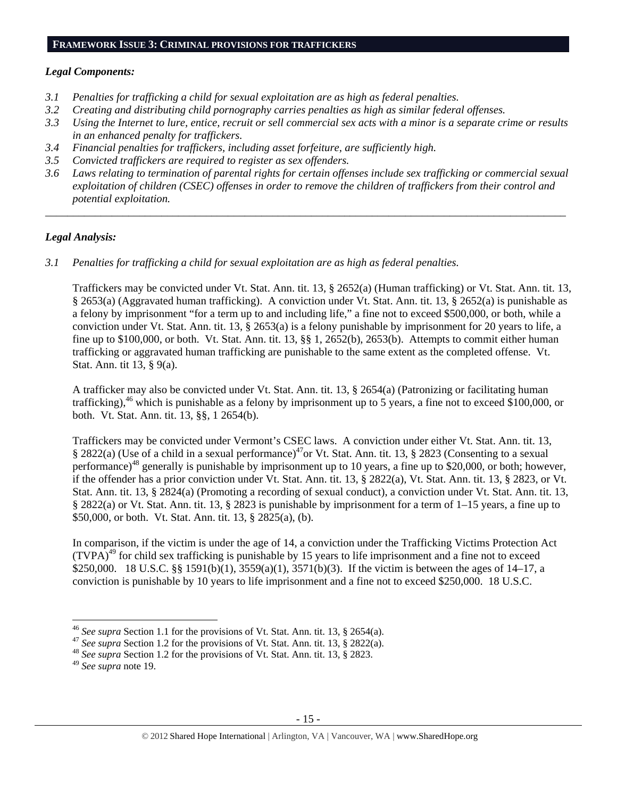## **FRAMEWORK ISSUE 3: CRIMINAL PROVISIONS FOR TRAFFICKERS**

#### *Legal Components:*

- *3.1 Penalties for trafficking a child for sexual exploitation are as high as federal penalties.*
- *3.2 Creating and distributing child pornography carries penalties as high as similar federal offenses.*
- *3.3 Using the Internet to lure, entice, recruit or sell commercial sex acts with a minor is a separate crime or results in an enhanced penalty for traffickers.*
- *3.4 Financial penalties for traffickers, including asset forfeiture, are sufficiently high.*
- *3.5 Convicted traffickers are required to register as sex offenders.*
- *3.6 Laws relating to termination of parental rights for certain offenses include sex trafficking or commercial sexual exploitation of children (CSEC) offenses in order to remove the children of traffickers from their control and potential exploitation.*

*\_\_\_\_\_\_\_\_\_\_\_\_\_\_\_\_\_\_\_\_\_\_\_\_\_\_\_\_\_\_\_\_\_\_\_\_\_\_\_\_\_\_\_\_\_\_\_\_\_\_\_\_\_\_\_\_\_\_\_\_\_\_\_\_\_\_\_\_\_\_\_\_\_\_\_\_\_\_\_\_\_\_\_\_\_\_\_\_\_\_\_\_\_\_* 

## *Legal Analysis:*

*3.1 Penalties for trafficking a child for sexual exploitation are as high as federal penalties.* 

Traffickers may be convicted under Vt. Stat. Ann. tit. 13, § 2652(a) (Human trafficking) or Vt. Stat. Ann. tit. 13, § 2653(a) (Aggravated human trafficking). A conviction under Vt. Stat. Ann. tit. 13, § 2652(a) is punishable as a felony by imprisonment "for a term up to and including life," a fine not to exceed \$500,000, or both, while a conviction under Vt. Stat. Ann. tit. 13, § 2653(a) is a felony punishable by imprisonment for 20 years to life, a fine up to \$100,000, or both. Vt. Stat. Ann. tit. 13, §§ 1, 2652(b), 2653(b). Attempts to commit either human trafficking or aggravated human trafficking are punishable to the same extent as the completed offense. Vt. Stat. Ann. tit 13, § 9(a).

A trafficker may also be convicted under Vt. Stat. Ann. tit. 13, § 2654(a) (Patronizing or facilitating human trafficking),<sup>46</sup> which is punishable as a felony by imprisonment up to 5 years, a fine not to exceed \$100,000, or both. Vt. Stat. Ann. tit. 13, §§, 1 2654(b).

Traffickers may be convicted under Vermont's CSEC laws. A conviction under either Vt. Stat. Ann. tit. 13, § 2822(a) (Use of a child in a sexual performance)<sup>47</sup>or Vt. Stat. Ann. tit. 13, § 2823 (Consenting to a sexual performance)<sup>48</sup> generally is punishable by imprisonment up to 10 years, a fine up to \$20,000, or both; however, if the offender has a prior conviction under Vt. Stat. Ann. tit. 13, § 2822(a), Vt. Stat. Ann. tit. 13, § 2823, or Vt. Stat. Ann. tit. 13, § 2824(a) (Promoting a recording of sexual conduct), a conviction under Vt. Stat. Ann. tit. 13, § 2822(a) or Vt. Stat. Ann. tit. 13, § 2823 is punishable by imprisonment for a term of 1–15 years, a fine up to \$50,000, or both. Vt. Stat. Ann. tit. 13, § 2825(a), (b).

In comparison, if the victim is under the age of 14, a conviction under the Trafficking Victims Protection Act  $(TVPA)^{49}$  for child sex trafficking is punishable by 15 years to life imprisonment and a fine not to exceed \$250,000. 18 U.S.C. §§ 1591(b)(1), 3559(a)(1), 3571(b)(3). If the victim is between the ages of 14–17, a conviction is punishable by 10 years to life imprisonment and a fine not to exceed \$250,000. 18 U.S.C.

<sup>&</sup>lt;sup>46</sup> See supra Section 1.1 for the provisions of Vt. Stat. Ann. tit. 13,  $\S$  2654(a).

<sup>&</sup>lt;sup>47</sup> See supra Section 1.2 for the provisions of Vt. Stat. Ann. tit. 13, § 2822(a).<br><sup>48</sup> See supra Section 1.2 for the provisions of Vt. Stat. Ann. tit. 13, § 2823.

<sup>49</sup> *See supra* note 19.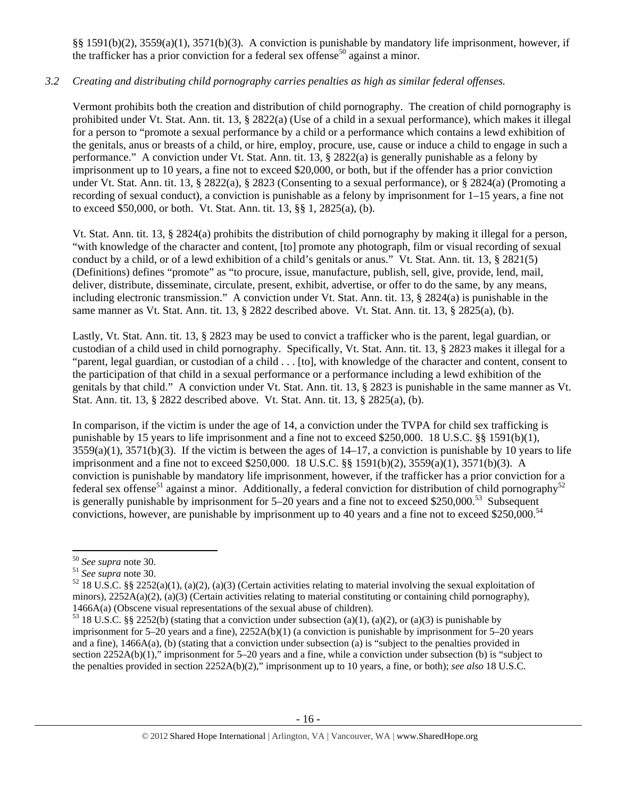§§ 1591(b)(2), 3559(a)(1), 3571(b)(3). A conviction is punishable by mandatory life imprisonment, however, if the trafficker has a prior conviction for a federal sex offense<sup>50</sup> against a minor.

# *3.2 Creating and distributing child pornography carries penalties as high as similar federal offenses.*

Vermont prohibits both the creation and distribution of child pornography. The creation of child pornography is prohibited under Vt. Stat. Ann. tit. 13, § 2822(a) (Use of a child in a sexual performance), which makes it illegal for a person to "promote a sexual performance by a child or a performance which contains a lewd exhibition of the genitals, anus or breasts of a child, or hire, employ, procure, use, cause or induce a child to engage in such a performance." A conviction under Vt. Stat. Ann. tit. 13, § 2822(a) is generally punishable as a felony by imprisonment up to 10 years, a fine not to exceed \$20,000, or both, but if the offender has a prior conviction under Vt. Stat. Ann. tit. 13, § 2822(a), § 2823 (Consenting to a sexual performance), or § 2824(a) (Promoting a recording of sexual conduct), a conviction is punishable as a felony by imprisonment for 1–15 years, a fine not to exceed \$50,000, or both. Vt. Stat. Ann. tit. 13, §§ 1, 2825(a), (b).

Vt. Stat. Ann. tit. 13, § 2824(a) prohibits the distribution of child pornography by making it illegal for a person, "with knowledge of the character and content, [to] promote any photograph, film or visual recording of sexual conduct by a child, or of a lewd exhibition of a child's genitals or anus." Vt. Stat. Ann. tit. 13, § 2821(5) (Definitions) defines "promote" as "to procure, issue, manufacture, publish, sell, give, provide, lend, mail, deliver, distribute, disseminate, circulate, present, exhibit, advertise, or offer to do the same, by any means, including electronic transmission." A conviction under Vt. Stat. Ann. tit. 13, § 2824(a) is punishable in the same manner as Vt. Stat. Ann. tit. 13, § 2822 described above. Vt. Stat. Ann. tit. 13, § 2825(a), (b).

Lastly, Vt. Stat. Ann. tit. 13, § 2823 may be used to convict a trafficker who is the parent, legal guardian, or custodian of a child used in child pornography. Specifically, Vt. Stat. Ann. tit. 13, § 2823 makes it illegal for a "parent, legal guardian, or custodian of a child . . . [to], with knowledge of the character and content, consent to the participation of that child in a sexual performance or a performance including a lewd exhibition of the genitals by that child." A conviction under Vt. Stat. Ann. tit. 13, § 2823 is punishable in the same manner as Vt. Stat. Ann. tit. 13, § 2822 described above. Vt. Stat. Ann. tit. 13, § 2825(a), (b).

In comparison, if the victim is under the age of 14, a conviction under the TVPA for child sex trafficking is punishable by 15 years to life imprisonment and a fine not to exceed \$250,000. 18 U.S.C. §§ 1591(b)(1),  $3559(a)(1)$ ,  $3571(b)(3)$ . If the victim is between the ages of  $14-17$ , a conviction is punishable by 10 years to life imprisonment and a fine not to exceed \$250,000. 18 U.S.C. §§ 1591(b)(2), 3559(a)(1), 3571(b)(3). A conviction is punishable by mandatory life imprisonment, however, if the trafficker has a prior conviction for a federal sex offense<sup>51</sup> against a minor. Additionally, a federal conviction for distribution of child pornography<sup>52</sup> is generally punishable by imprisonment for  $5-20$  years and a fine not to exceed \$250,000.<sup>53</sup> Subsequent convictions, however, are punishable by imprisonment up to 40 years and a fine not to exceed \$250,000.<sup>54</sup>

<sup>&</sup>lt;sup>50</sup> *See supra* note 30.<br><sup>51</sup> *See supra* note 30.<br><sup>52</sup> 18 U.S.C. §§ 2252(a)(1), (a)(2), (a)(3) (Certain activities relating to material involving the sexual exploitation of minors),  $2252A(a)(2)$ ,  $(a)(3)$  (Certain activities relating to material constituting or containing child pornography), 1466A(a) (Obscene visual representations of the sexual abuse of children).<br><sup>53</sup> 18 U.S.C. §§ 2252(b) (stating that a conviction under subsection (a)(1), (a)(2), or (a)(3) is punishable by

imprisonment for 5–20 years and a fine), 2252A(b)(1) (a conviction is punishable by imprisonment for 5–20 years and a fine), 1466A(a), (b) (stating that a conviction under subsection (a) is "subject to the penalties provided in section 2252A(b)(1)," imprisonment for 5–20 years and a fine, while a conviction under subsection (b) is "subject to the penalties provided in section 2252A(b)(2)," imprisonment up to 10 years, a fine, or both); *see also* 18 U.S.C.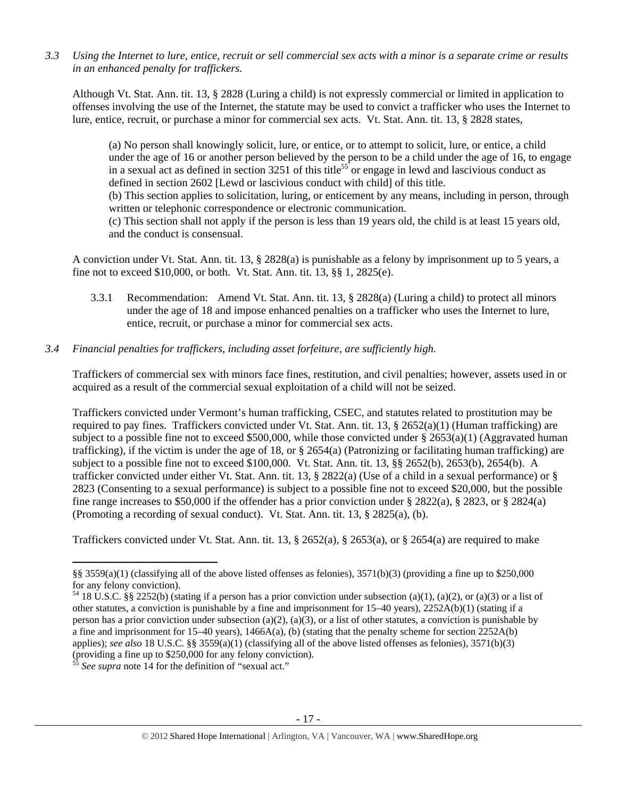*3.3 Using the Internet to lure, entice, recruit or sell commercial sex acts with a minor is a separate crime or results in an enhanced penalty for traffickers.* 

Although Vt. Stat. Ann. tit. 13, § 2828 (Luring a child) is not expressly commercial or limited in application to offenses involving the use of the Internet, the statute may be used to convict a trafficker who uses the Internet to lure, entice, recruit, or purchase a minor for commercial sex acts. Vt. Stat. Ann. tit. 13, § 2828 states,

(a) No person shall knowingly solicit, lure, or entice, or to attempt to solicit, lure, or entice, a child under the age of 16 or another person believed by the person to be a child under the age of 16, to engage in a sexual act as defined in section  $3251$  of this title<sup>55</sup> or engage in lewd and lascivious conduct as defined in section 2602 [Lewd or lascivious conduct with child] of this title. (b) This section applies to solicitation, luring, or enticement by any means, including in person, through

written or telephonic correspondence or electronic communication.

(c) This section shall not apply if the person is less than 19 years old, the child is at least 15 years old, and the conduct is consensual.

A conviction under Vt. Stat. Ann. tit. 13, § 2828(a) is punishable as a felony by imprisonment up to 5 years, a fine not to exceed \$10,000, or both. Vt. Stat. Ann. tit. 13, §§ 1, 2825(e).

3.3.1 Recommendation: Amend Vt. Stat. Ann. tit. 13, § 2828(a) (Luring a child) to protect all minors under the age of 18 and impose enhanced penalties on a trafficker who uses the Internet to lure, entice, recruit, or purchase a minor for commercial sex acts.

# *3.4 Financial penalties for traffickers, including asset forfeiture, are sufficiently high.*

Traffickers of commercial sex with minors face fines, restitution, and civil penalties; however, assets used in or acquired as a result of the commercial sexual exploitation of a child will not be seized.

Traffickers convicted under Vermont's human trafficking, CSEC, and statutes related to prostitution may be required to pay fines. Traffickers convicted under Vt. Stat. Ann. tit. 13,  $\S$  2652(a)(1) (Human trafficking) are subject to a possible fine not to exceed \$500,000, while those convicted under § 2653(a)(1) (Aggravated human trafficking), if the victim is under the age of 18, or  $\S 2654(a)$  (Patronizing or facilitating human trafficking) are subject to a possible fine not to exceed \$100,000. Vt. Stat. Ann. tit. 13, §§ 2652(b), 2653(b), 2654(b). A trafficker convicted under either Vt. Stat. Ann. tit. 13, § 2822(a) (Use of a child in a sexual performance) or § 2823 (Consenting to a sexual performance) is subject to a possible fine not to exceed \$20,000, but the possible fine range increases to \$50,000 if the offender has a prior conviction under § 2822(a), § 2823, or § 2824(a) (Promoting a recording of sexual conduct). Vt. Stat. Ann. tit. 13, § 2825(a), (b).

Traffickers convicted under Vt. Stat. Ann. tit. 13, § 2652(a), § 2653(a), or § 2654(a) are required to make

<sup>§§ 3559(</sup>a)(1) (classifying all of the above listed offenses as felonies), 3571(b)(3) (providing a fine up to \$250,000 for any felony conviction).

 $54$  18 U.S.C. §§ 2252(b) (stating if a person has a prior conviction under subsection (a)(1), (a)(2), or (a)(3) or a list of other statutes, a conviction is punishable by a fine and imprisonment for 15–40 years), 2252A(b)(1) (stating if a person has a prior conviction under subsection (a)(2), (a)(3), or a list of other statutes, a conviction is punishable by a fine and imprisonment for 15–40 years), 1466A(a), (b) (stating that the penalty scheme for section 2252A(b) applies); *see also* 18 U.S.C. §§ 3559(a)(1) (classifying all of the above listed offenses as felonies), 3571(b)(3) (providing a fine up to  $$250,000$  for any felony conviction).

See supra note 14 for the definition of "sexual act."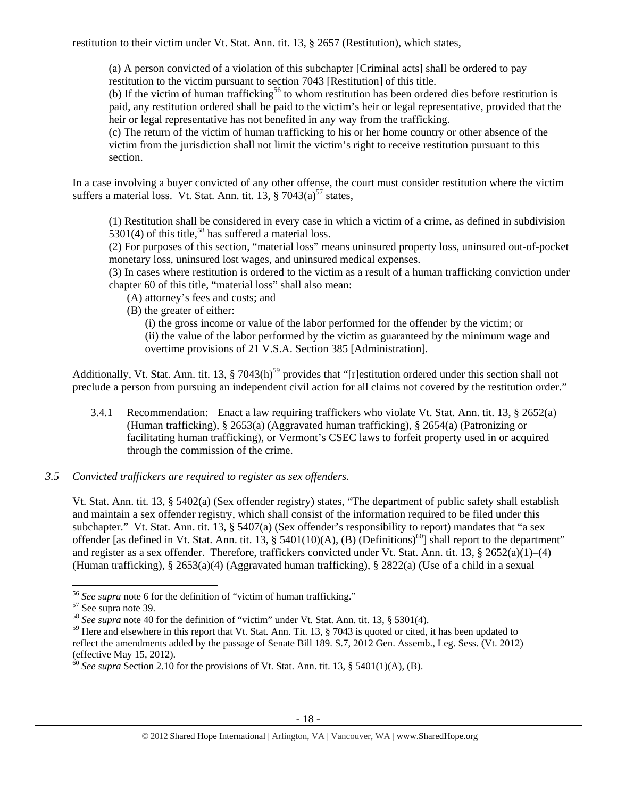restitution to their victim under Vt. Stat. Ann. tit. 13, § 2657 (Restitution), which states,

(a) A person convicted of a violation of this subchapter [Criminal acts] shall be ordered to pay restitution to the victim pursuant to section 7043 [Restitution] of this title.

(b) If the victim of human trafficking<sup>56</sup> to whom restitution has been ordered dies before restitution is paid, any restitution ordered shall be paid to the victim's heir or legal representative, provided that the heir or legal representative has not benefited in any way from the trafficking.

(c) The return of the victim of human trafficking to his or her home country or other absence of the victim from the jurisdiction shall not limit the victim's right to receive restitution pursuant to this section.

In a case involving a buyer convicted of any other offense, the court must consider restitution where the victim suffers a material loss. Vt. Stat. Ann. tit.  $13.$   $\frac{8}{2043(a)}$ <sup>57</sup> states,

(1) Restitution shall be considered in every case in which a victim of a crime, as defined in subdivision  $5301(4)$  of this title,<sup>58</sup> has suffered a material loss.

(2) For purposes of this section, "material loss" means uninsured property loss, uninsured out-of-pocket monetary loss, uninsured lost wages, and uninsured medical expenses.

(3) In cases where restitution is ordered to the victim as a result of a human trafficking conviction under chapter 60 of this title, "material loss" shall also mean:

- (A) attorney's fees and costs; and
- (B) the greater of either:

(i) the gross income or value of the labor performed for the offender by the victim; or (ii) the value of the labor performed by the victim as guaranteed by the minimum wage and overtime provisions of 21 V.S.A. Section 385 [Administration].

Additionally, Vt. Stat. Ann. tit. 13,  $\S 7043(h)^{59}$  provides that "[r]estitution ordered under this section shall not preclude a person from pursuing an independent civil action for all claims not covered by the restitution order."

- 3.4.1 Recommendation: Enact a law requiring traffickers who violate Vt. Stat. Ann. tit. 13, § 2652(a) (Human trafficking), § 2653(a) (Aggravated human trafficking), § 2654(a) (Patronizing or facilitating human trafficking), or Vermont's CSEC laws to forfeit property used in or acquired through the commission of the crime.
- *3.5 Convicted traffickers are required to register as sex offenders.*

Vt. Stat. Ann. tit. 13, § 5402(a) (Sex offender registry) states, "The department of public safety shall establish and maintain a sex offender registry, which shall consist of the information required to be filed under this subchapter." Vt. Stat. Ann. tit. 13, § 5407(a) (Sex offender's responsibility to report) mandates that "a sex offender [as defined in Vt. Stat. Ann. tit. 13,  $\S$  5401(10)(A), (B) (Definitions)<sup>60</sup>] shall report to the department" and register as a sex offender. Therefore, traffickers convicted under Vt. Stat. Ann. tit. 13,  $\S 2652(a)(1)–(4)$ (Human trafficking), § 2653(a)(4) (Aggravated human trafficking), § 2822(a) (Use of a child in a sexual

<sup>&</sup>lt;sup>56</sup> *See supra* note 6 for the definition of "victim of human trafficking." See supra note 39.

<sup>&</sup>lt;sup>57</sup> See supra note 39.<br><sup>58</sup> *See supra* note 40 for the definition of "victim" under Vt. Stat. Ann. tit. 13, § 5301(4).

 $59$  Here and elsewhere in this report that Vt. Stat. Ann. Tit. 13,  $\S$  7043 is quoted or cited, it has been updated to reflect the amendments added by the passage of Senate Bill 189. S.7, 2012 Gen. Assemb., Leg. Sess. (Vt. 2012) (effective May 15, 2012).

<sup>&</sup>lt;sup>60</sup> *See supra* Section 2.10 for the provisions of Vt. Stat. Ann. tit. 13, § 5401(1)(A), (B).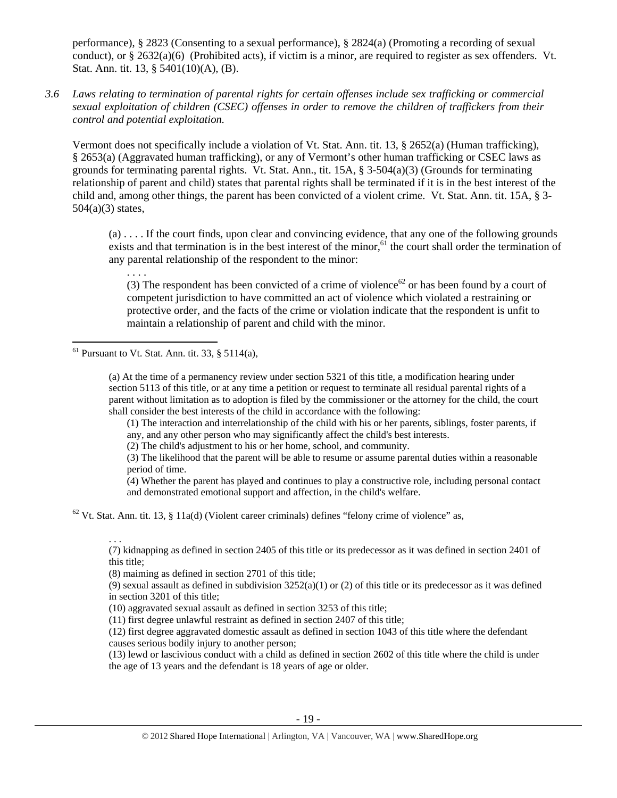performance), § 2823 (Consenting to a sexual performance), § 2824(a) (Promoting a recording of sexual conduct), or  $\S 2632(a)(6)$  (Prohibited acts), if victim is a minor, are required to register as sex offenders. Vt. Stat. Ann. tit. 13, § 5401(10)(A), (B).

*3.6 Laws relating to termination of parental rights for certain offenses include sex trafficking or commercial sexual exploitation of children (CSEC) offenses in order to remove the children of traffickers from their control and potential exploitation.* 

Vermont does not specifically include a violation of Vt. Stat. Ann. tit. 13, § 2652(a) (Human trafficking), § 2653(a) (Aggravated human trafficking), or any of Vermont's other human trafficking or CSEC laws as grounds for terminating parental rights. Vt. Stat. Ann., tit.  $15A$ , §  $3-504(a)(3)$  (Grounds for terminating relationship of parent and child) states that parental rights shall be terminated if it is in the best interest of the child and, among other things, the parent has been convicted of a violent crime. Vt. Stat. Ann. tit. 15A, § 3-  $504(a)(3)$  states,

 $(a)$ .... If the court finds, upon clear and convincing evidence, that any one of the following grounds exists and that termination is in the best interest of the minor,<sup>61</sup> the court shall order the termination of any parental relationship of the respondent to the minor:

. . . . (3) The respondent has been convicted of a crime of violence<sup>62</sup> or has been found by a court of competent jurisdiction to have committed an act of violence which violated a restraining or protective order, and the facts of the crime or violation indicate that the respondent is unfit to maintain a relationship of parent and child with the minor.

 $<sup>61</sup>$  Pursuant to Vt. Stat. Ann. tit. 33, § 5114(a),</sup>

. . .

(a) At the time of a permanency review under section 5321 of this title, a modification hearing under section 5113 of this title, or at any time a petition or request to terminate all residual parental rights of a parent without limitation as to adoption is filed by the commissioner or the attorney for the child, the court shall consider the best interests of the child in accordance with the following:

(1) The interaction and interrelationship of the child with his or her parents, siblings, foster parents, if any, and any other person who may significantly affect the child's best interests.

(2) The child's adjustment to his or her home, school, and community.

(3) The likelihood that the parent will be able to resume or assume parental duties within a reasonable period of time.

(4) Whether the parent has played and continues to play a constructive role, including personal contact and demonstrated emotional support and affection, in the child's welfare.

 $62$  Vt. Stat. Ann. tit. 13, § 11a(d) (Violent career criminals) defines "felony crime of violence" as,

(7) kidnapping as defined in section 2405 of this title or its predecessor as it was defined in section 2401 of this title;

(8) maiming as defined in section 2701 of this title;

(9) sexual assault as defined in subdivision  $3252(a)(1)$  or (2) of this title or its predecessor as it was defined in section 3201 of this title;

(10) aggravated sexual assault as defined in section 3253 of this title;

(11) first degree unlawful restraint as defined in section 2407 of this title;

(12) first degree aggravated domestic assault as defined in section 1043 of this title where the defendant causes serious bodily injury to another person;

(13) lewd or lascivious conduct with a child as defined in section 2602 of this title where the child is under the age of 13 years and the defendant is 18 years of age or older.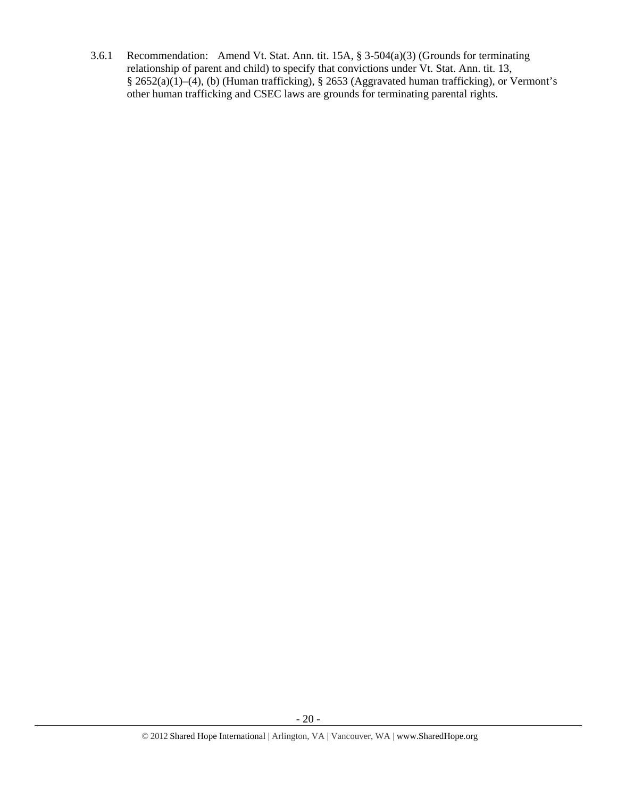3.6.1 Recommendation: Amend Vt. Stat. Ann. tit. 15A, § 3-504(a)(3) (Grounds for terminating relationship of parent and child) to specify that convictions under Vt. Stat. Ann. tit. 13, § 2652(a)(1)–(4), (b) (Human trafficking), § 2653 (Aggravated human trafficking), or Vermont's other human trafficking and CSEC laws are grounds for terminating parental rights.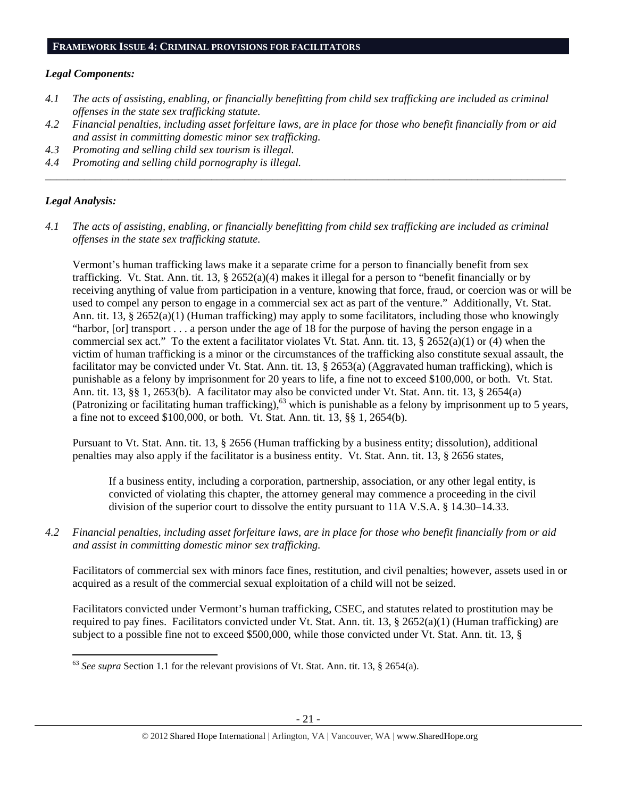#### *Legal Components:*

- *4.1 The acts of assisting, enabling, or financially benefitting from child sex trafficking are included as criminal offenses in the state sex trafficking statute.*
- *4.2 Financial penalties, including asset forfeiture laws, are in place for those who benefit financially from or aid and assist in committing domestic minor sex trafficking.*

*\_\_\_\_\_\_\_\_\_\_\_\_\_\_\_\_\_\_\_\_\_\_\_\_\_\_\_\_\_\_\_\_\_\_\_\_\_\_\_\_\_\_\_\_\_\_\_\_\_\_\_\_\_\_\_\_\_\_\_\_\_\_\_\_\_\_\_\_\_\_\_\_\_\_\_\_\_\_\_\_\_\_\_\_\_\_\_\_\_\_\_\_\_\_* 

- *4.3 Promoting and selling child sex tourism is illegal.*
- *4.4 Promoting and selling child pornography is illegal.*

#### *Legal Analysis:*

*4.1 The acts of assisting, enabling, or financially benefitting from child sex trafficking are included as criminal offenses in the state sex trafficking statute.* 

Vermont's human trafficking laws make it a separate crime for a person to financially benefit from sex trafficking. Vt. Stat. Ann. tit. 13, § 2652(a)(4) makes it illegal for a person to "benefit financially or by receiving anything of value from participation in a venture, knowing that force, fraud, or coercion was or will be used to compel any person to engage in a commercial sex act as part of the venture." Additionally, Vt. Stat. Ann. tit. 13, § 2652(a)(1) (Human trafficking) may apply to some facilitators, including those who knowingly "harbor, [or] transport . . . a person under the age of 18 for the purpose of having the person engage in a commercial sex act." To the extent a facilitator violates Vt. Stat. Ann. tit. 13,  $\S 2652(a)(1)$  or (4) when the victim of human trafficking is a minor or the circumstances of the trafficking also constitute sexual assault, the facilitator may be convicted under Vt. Stat. Ann. tit. 13, § 2653(a) (Aggravated human trafficking), which is punishable as a felony by imprisonment for 20 years to life, a fine not to exceed \$100,000, or both. Vt. Stat. Ann. tit. 13, §§ 1, 2653(b). A facilitator may also be convicted under Vt. Stat. Ann. tit. 13, § 2654(a) (Patronizing or facilitating human trafficking),<sup>63</sup> which is punishable as a felony by imprisonment up to 5 years, a fine not to exceed \$100,000, or both. Vt. Stat. Ann. tit. 13, §§ 1, 2654(b).

Pursuant to Vt. Stat. Ann. tit. 13, § 2656 (Human trafficking by a business entity; dissolution), additional penalties may also apply if the facilitator is a business entity. Vt. Stat. Ann. tit. 13, § 2656 states,

If a business entity, including a corporation, partnership, association, or any other legal entity, is convicted of violating this chapter, the attorney general may commence a proceeding in the civil division of the superior court to dissolve the entity pursuant to 11A V.S.A. § 14.30–14.33.

*4.2 Financial penalties, including asset forfeiture laws, are in place for those who benefit financially from or aid and assist in committing domestic minor sex trafficking.* 

Facilitators of commercial sex with minors face fines, restitution, and civil penalties; however, assets used in or acquired as a result of the commercial sexual exploitation of a child will not be seized.

Facilitators convicted under Vermont's human trafficking, CSEC, and statutes related to prostitution may be required to pay fines. Facilitators convicted under Vt. Stat. Ann. tit. 13,  $\S$  2652(a)(1) (Human trafficking) are subject to a possible fine not to exceed \$500,000, while those convicted under Vt. Stat. Ann. tit. 13, §

 <sup>63</sup> *See supra* Section 1.1 for the relevant provisions of Vt. Stat. Ann. tit. 13, § 2654(a).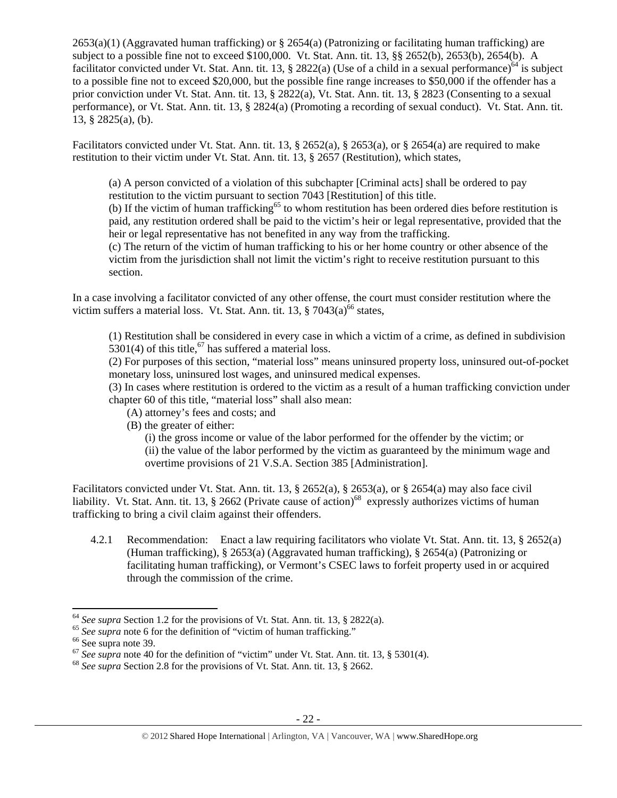2653(a)(1) (Aggravated human trafficking) or § 2654(a) (Patronizing or facilitating human trafficking) are subject to a possible fine not to exceed \$100,000. Vt. Stat. Ann. tit. 13, §§ 2652(b), 2653(b), 2654(b). A facilitator convicted under Vt. Stat. Ann. tit. 13, § 2822(a) (Use of a child in a sexual performance)<sup>64</sup> is subject to a possible fine not to exceed \$20,000, but the possible fine range increases to \$50,000 if the offender has a prior conviction under Vt. Stat. Ann. tit. 13, § 2822(a), Vt. Stat. Ann. tit. 13, § 2823 (Consenting to a sexual performance), or Vt. Stat. Ann. tit. 13, § 2824(a) (Promoting a recording of sexual conduct). Vt. Stat. Ann. tit. 13, § 2825(a), (b).

Facilitators convicted under Vt. Stat. Ann. tit. 13, § 2652(a), § 2653(a), or § 2654(a) are required to make restitution to their victim under Vt. Stat. Ann. tit. 13, § 2657 (Restitution), which states,

(a) A person convicted of a violation of this subchapter [Criminal acts] shall be ordered to pay restitution to the victim pursuant to section 7043 [Restitution] of this title.

(b) If the victim of human trafficking<sup>65</sup> to whom restitution has been ordered dies before restitution is paid, any restitution ordered shall be paid to the victim's heir or legal representative, provided that the heir or legal representative has not benefited in any way from the trafficking.

(c) The return of the victim of human trafficking to his or her home country or other absence of the victim from the jurisdiction shall not limit the victim's right to receive restitution pursuant to this section.

In a case involving a facilitator convicted of any other offense, the court must consider restitution where the victim suffers a material loss. Vt. Stat. Ann. tit. 13,  $\S 7043(a)^{66}$  states,

(1) Restitution shall be considered in every case in which a victim of a crime, as defined in subdivision 5301(4) of this title,  $67$  has suffered a material loss.

(2) For purposes of this section, "material loss" means uninsured property loss, uninsured out-of-pocket monetary loss, uninsured lost wages, and uninsured medical expenses.

(3) In cases where restitution is ordered to the victim as a result of a human trafficking conviction under chapter 60 of this title, "material loss" shall also mean:

- (A) attorney's fees and costs; and
- (B) the greater of either:

(i) the gross income or value of the labor performed for the offender by the victim; or (ii) the value of the labor performed by the victim as guaranteed by the minimum wage and overtime provisions of 21 V.S.A. Section 385 [Administration].

Facilitators convicted under Vt. Stat. Ann. tit. 13, § 2652(a), § 2653(a), or § 2654(a) may also face civil liability. Vt. Stat. Ann. tit. 13, § 2662 (Private cause of action)<sup>68</sup> expressly authorizes victims of human trafficking to bring a civil claim against their offenders.

4.2.1 Recommendation: Enact a law requiring facilitators who violate Vt. Stat. Ann. tit. 13, § 2652(a) (Human trafficking), § 2653(a) (Aggravated human trafficking), § 2654(a) (Patronizing or facilitating human trafficking), or Vermont's CSEC laws to forfeit property used in or acquired through the commission of the crime.

<sup>&</sup>lt;sup>64</sup> *See supra* Section 1.2 for the provisions of Vt. Stat. Ann. tit. 13, § 2822(a). <sup>65</sup> *See supra* note 6 for the definition of "victim of human trafficking." <sup>66</sup> See supra note 39.

<sup>&</sup>lt;sup>67</sup> *See supra* note 40 for the definition of "victim" under Vt. Stat. Ann. tit. 13, § 5301(4). <sup>68</sup> *See supra* Section 2.8 for the provisions of Vt. Stat. Ann. tit. 13, § 2662.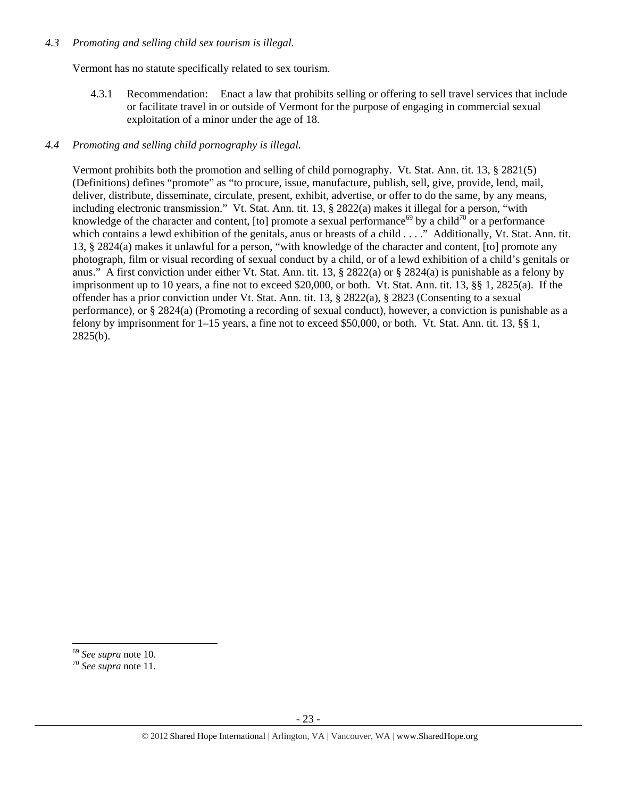#### *4.3 Promoting and selling child sex tourism is illegal.*

Vermont has no statute specifically related to sex tourism.

4.3.1 Recommendation: Enact a law that prohibits selling or offering to sell travel services that include or facilitate travel in or outside of Vermont for the purpose of engaging in commercial sexual exploitation of a minor under the age of 18.

## *4.4 Promoting and selling child pornography is illegal.*

Vermont prohibits both the promotion and selling of child pornography. Vt. Stat. Ann. tit. 13, § 2821(5) (Definitions) defines "promote" as "to procure, issue, manufacture, publish, sell, give, provide, lend, mail, deliver, distribute, disseminate, circulate, present, exhibit, advertise, or offer to do the same, by any means, including electronic transmission." Vt. Stat. Ann. tit. 13, § 2822(a) makes it illegal for a person, "with knowledge of the character and content, [to] promote a sexual performance<sup>69</sup> by a child<sup>70</sup> or a performance which contains a lewd exhibition of the genitals, anus or breasts of a child . . . ." Additionally, Vt. Stat. Ann. tit. 13, § 2824(a) makes it unlawful for a person, "with knowledge of the character and content, [to] promote any photograph, film or visual recording of sexual conduct by a child, or of a lewd exhibition of a child's genitals or anus." A first conviction under either Vt. Stat. Ann. tit. 13,  $\S 2822(a)$  or  $\S 2824(a)$  is punishable as a felony by imprisonment up to 10 years, a fine not to exceed \$20,000, or both. Vt. Stat. Ann. tit. 13, §§ 1, 2825(a). If the offender has a prior conviction under Vt. Stat. Ann. tit. 13, § 2822(a), § 2823 (Consenting to a sexual performance), or § 2824(a) (Promoting a recording of sexual conduct), however, a conviction is punishable as a felony by imprisonment for 1–15 years, a fine not to exceed \$50,000, or both. Vt. Stat. Ann. tit. 13, §§ 1, 2825(b).

<sup>69</sup> *See supra* note 10. 70 *See supra* note 11.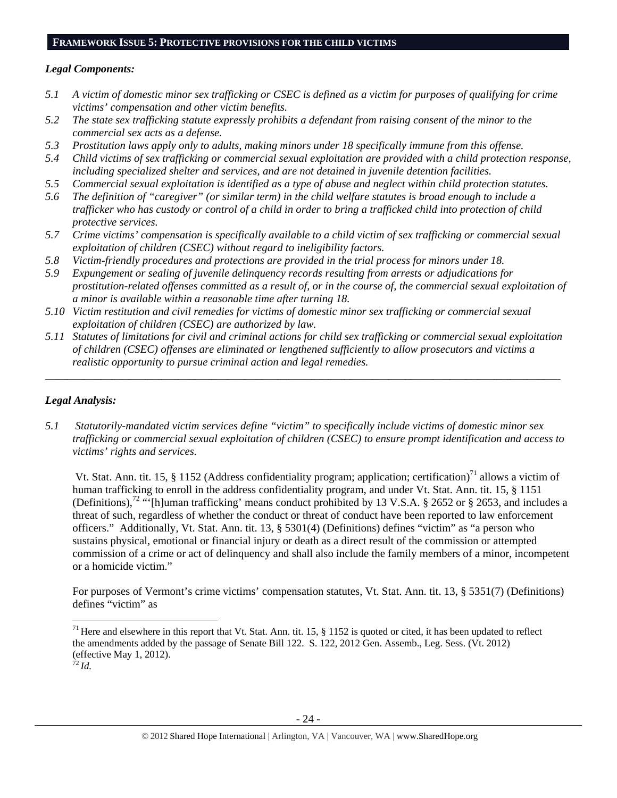#### **FRAMEWORK ISSUE 5: PROTECTIVE PROVISIONS FOR THE CHILD VICTIMS**

# *Legal Components:*

- *5.1 A victim of domestic minor sex trafficking or CSEC is defined as a victim for purposes of qualifying for crime victims' compensation and other victim benefits.*
- *5.2 The state sex trafficking statute expressly prohibits a defendant from raising consent of the minor to the commercial sex acts as a defense.*
- *5.3 Prostitution laws apply only to adults, making minors under 18 specifically immune from this offense.*
- *5.4 Child victims of sex trafficking or commercial sexual exploitation are provided with a child protection response, including specialized shelter and services, and are not detained in juvenile detention facilities.*
- *5.5 Commercial sexual exploitation is identified as a type of abuse and neglect within child protection statutes.*
- *5.6 The definition of "caregiver" (or similar term) in the child welfare statutes is broad enough to include a trafficker who has custody or control of a child in order to bring a trafficked child into protection of child protective services.*
- *5.7 Crime victims' compensation is specifically available to a child victim of sex trafficking or commercial sexual exploitation of children (CSEC) without regard to ineligibility factors.*
- *5.8 Victim-friendly procedures and protections are provided in the trial process for minors under 18.*
- *5.9 Expungement or sealing of juvenile delinquency records resulting from arrests or adjudications for prostitution-related offenses committed as a result of, or in the course of, the commercial sexual exploitation of a minor is available within a reasonable time after turning 18.*
- *5.10 Victim restitution and civil remedies for victims of domestic minor sex trafficking or commercial sexual exploitation of children (CSEC) are authorized by law.*
- *5.11 Statutes of limitations for civil and criminal actions for child sex trafficking or commercial sexual exploitation of children (CSEC) offenses are eliminated or lengthened sufficiently to allow prosecutors and victims a realistic opportunity to pursue criminal action and legal remedies.*

*\_\_\_\_\_\_\_\_\_\_\_\_\_\_\_\_\_\_\_\_\_\_\_\_\_\_\_\_\_\_\_\_\_\_\_\_\_\_\_\_\_\_\_\_\_\_\_\_\_\_\_\_\_\_\_\_\_\_\_\_\_\_\_\_\_\_\_\_\_\_\_\_\_\_\_\_\_\_\_\_\_\_\_\_\_\_\_\_\_\_\_\_\_* 

# *Legal Analysis:*

*5.1 Statutorily-mandated victim services define "victim" to specifically include victims of domestic minor sex trafficking or commercial sexual exploitation of children (CSEC) to ensure prompt identification and access to victims' rights and services.* 

Vt. Stat. Ann. tit. 15, § 1152 (Address confidentiality program; application; certification)<sup>71</sup> allows a victim of human trafficking to enroll in the address confidentiality program, and under Vt. Stat. Ann. tit. 15, § 1151 (Definitions),<sup>72</sup> "'[h]uman trafficking' means conduct prohibited by 13 V.S.A. § 2652 or § 2653, and includes a threat of such, regardless of whether the conduct or threat of conduct have been reported to law enforcement officers." Additionally, Vt. Stat. Ann. tit. 13, § 5301(4) (Definitions) defines "victim" as "a person who sustains physical, emotional or financial injury or death as a direct result of the commission or attempted commission of a crime or act of delinquency and shall also include the family members of a minor, incompetent or a homicide victim."

For purposes of Vermont's crime victims' compensation statutes, Vt. Stat. Ann. tit. 13, § 5351(7) (Definitions) defines "victim" as

<sup>&</sup>lt;sup>71</sup> Here and elsewhere in this report that Vt. Stat. Ann. tit. 15,  $\S$  1152 is quoted or cited, it has been updated to reflect the amendments added by the passage of Senate Bill 122. S. 122, 2012 Gen. Assemb., Leg. Sess. (Vt. 2012) (effective May 1, 2012).

<sup>72</sup>*Id.*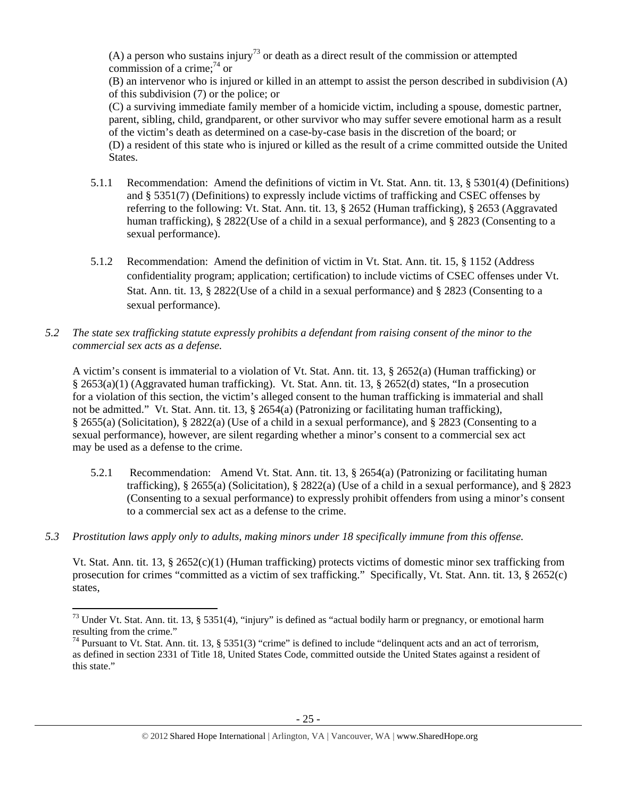(A) a person who sustains injury<sup>73</sup> or death as a direct result of the commission or attempted commission of a crime: $74$  or

(B) an intervenor who is injured or killed in an attempt to assist the person described in subdivision (A) of this subdivision (7) or the police; or

(C) a surviving immediate family member of a homicide victim, including a spouse, domestic partner, parent, sibling, child, grandparent, or other survivor who may suffer severe emotional harm as a result of the victim's death as determined on a case-by-case basis in the discretion of the board; or (D) a resident of this state who is injured or killed as the result of a crime committed outside the United States.

- 5.1.1 Recommendation: Amend the definitions of victim in Vt. Stat. Ann. tit. 13, § 5301(4) (Definitions) and § 5351(7) (Definitions) to expressly include victims of trafficking and CSEC offenses by referring to the following: Vt. Stat. Ann. tit. 13, § 2652 (Human trafficking), § 2653 (Aggravated human trafficking), § 2822(Use of a child in a sexual performance), and § 2823 (Consenting to a sexual performance).
- 5.1.2 Recommendation: Amend the definition of victim in Vt. Stat. Ann. tit. 15, § 1152 (Address confidentiality program; application; certification) to include victims of CSEC offenses under Vt. Stat. Ann. tit. 13, § 2822(Use of a child in a sexual performance) and § 2823 (Consenting to a sexual performance).
- *5.2 The state sex trafficking statute expressly prohibits a defendant from raising consent of the minor to the commercial sex acts as a defense.*

A victim's consent is immaterial to a violation of Vt. Stat. Ann. tit. 13, § 2652(a) (Human trafficking) or § 2653(a)(1) (Aggravated human trafficking). Vt. Stat. Ann. tit. 13, § 2652(d) states, "In a prosecution for a violation of this section, the victim's alleged consent to the human trafficking is immaterial and shall not be admitted." Vt. Stat. Ann. tit. 13, § 2654(a) (Patronizing or facilitating human trafficking), § 2655(a) (Solicitation), § 2822(a) (Use of a child in a sexual performance), and § 2823 (Consenting to a sexual performance), however, are silent regarding whether a minor's consent to a commercial sex act may be used as a defense to the crime.

- 5.2.1 Recommendation: Amend Vt. Stat. Ann. tit. 13, § 2654(a) (Patronizing or facilitating human trafficking), § 2655(a) (Solicitation), § 2822(a) (Use of a child in a sexual performance), and § 2823 (Consenting to a sexual performance) to expressly prohibit offenders from using a minor's consent to a commercial sex act as a defense to the crime.
- *5.3 Prostitution laws apply only to adults, making minors under 18 specifically immune from this offense.*

Vt. Stat. Ann. tit. 13, § 2652(c)(1) (Human trafficking) protects victims of domestic minor sex trafficking from prosecution for crimes "committed as a victim of sex trafficking." Specifically, Vt. Stat. Ann. tit. 13, § 2652(c) states,

 $73$  Under Vt. Stat. Ann. tit. 13, § 5351(4), "injury" is defined as "actual bodily harm or pregnancy, or emotional harm resulting from the crime."

 $^{74}$  Pursuant to Vt. Stat. Ann. tit. 13, § 5351(3) "crime" is defined to include "delinquent acts and an act of terrorism, as defined in section 2331 of Title 18, United States Code, committed outside the United States against a resident of this state."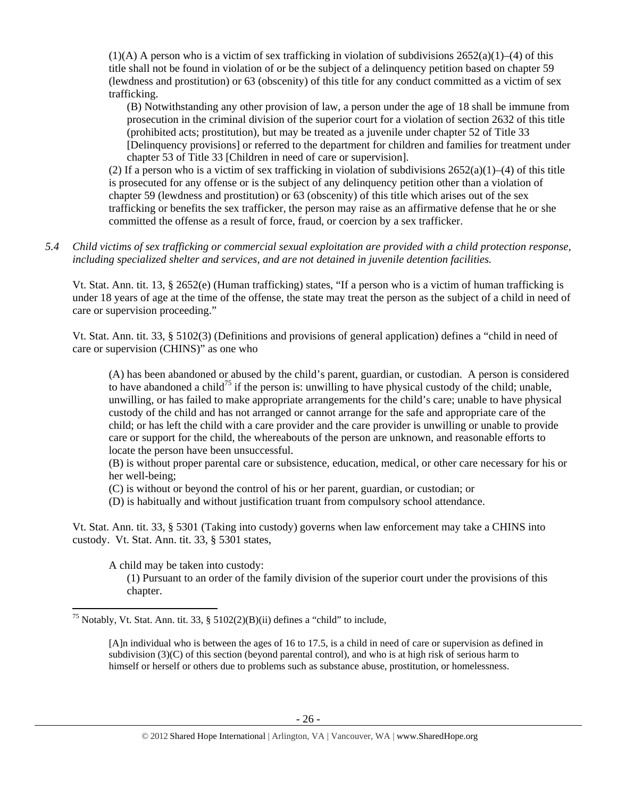$(1)$ (A) A person who is a victim of sex trafficking in violation of subdivisions 2652(a)(1)–(4) of this title shall not be found in violation of or be the subject of a delinquency petition based on chapter 59 (lewdness and prostitution) or 63 (obscenity) of this title for any conduct committed as a victim of sex trafficking.

(B) Notwithstanding any other provision of law, a person under the age of 18 shall be immune from prosecution in the criminal division of the superior court for a violation of section 2632 of this title (prohibited acts; prostitution), but may be treated as a juvenile under chapter 52 of Title 33 [Delinquency provisions] or referred to the department for children and families for treatment under chapter 53 of Title 33 [Children in need of care or supervision].

(2) If a person who is a victim of sex trafficking in violation of subdivisions  $2652(a)(1)–(4)$  of this title is prosecuted for any offense or is the subject of any delinquency petition other than a violation of chapter 59 (lewdness and prostitution) or 63 (obscenity) of this title which arises out of the sex trafficking or benefits the sex trafficker, the person may raise as an affirmative defense that he or she committed the offense as a result of force, fraud, or coercion by a sex trafficker.

*5.4 Child victims of sex trafficking or commercial sexual exploitation are provided with a child protection response, including specialized shelter and services, and are not detained in juvenile detention facilities.* 

Vt. Stat. Ann. tit. 13, § 2652(e) (Human trafficking) states, "If a person who is a victim of human trafficking is under 18 years of age at the time of the offense, the state may treat the person as the subject of a child in need of care or supervision proceeding."

Vt. Stat. Ann. tit. 33, § 5102(3) (Definitions and provisions of general application) defines a "child in need of care or supervision (CHINS)" as one who

(A) has been abandoned or abused by the child's parent, guardian, or custodian. A person is considered to have abandoned a child<sup>75</sup> if the person is: unwilling to have physical custody of the child; unable, unwilling, or has failed to make appropriate arrangements for the child's care; unable to have physical custody of the child and has not arranged or cannot arrange for the safe and appropriate care of the child; or has left the child with a care provider and the care provider is unwilling or unable to provide care or support for the child, the whereabouts of the person are unknown, and reasonable efforts to locate the person have been unsuccessful.

(B) is without proper parental care or subsistence, education, medical, or other care necessary for his or her well-being;

- (C) is without or beyond the control of his or her parent, guardian, or custodian; or
- (D) is habitually and without justification truant from compulsory school attendance.

Vt. Stat. Ann. tit. 33, § 5301 (Taking into custody) governs when law enforcement may take a CHINS into custody. Vt. Stat. Ann. tit. 33, § 5301 states,

A child may be taken into custody:

(1) Pursuant to an order of the family division of the superior court under the provisions of this chapter.

 <sup>75</sup> Notably, Vt. Stat. Ann. tit. 33, § 5102(2)(B)(ii) defines a "child" to include,

<sup>[</sup>A]n individual who is between the ages of 16 to 17.5, is a child in need of care or supervision as defined in subdivision (3)(C) of this section (beyond parental control), and who is at high risk of serious harm to himself or herself or others due to problems such as substance abuse, prostitution, or homelessness.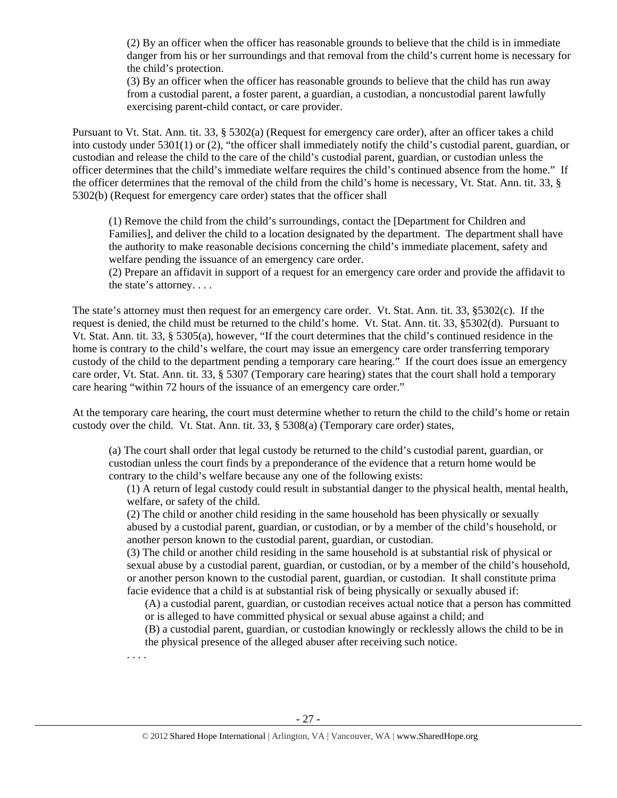(2) By an officer when the officer has reasonable grounds to believe that the child is in immediate danger from his or her surroundings and that removal from the child's current home is necessary for the child's protection.

(3) By an officer when the officer has reasonable grounds to believe that the child has run away from a custodial parent, a foster parent, a guardian, a custodian, a noncustodial parent lawfully exercising parent-child contact, or care provider.

Pursuant to Vt. Stat. Ann. tit. 33, § 5302(a) (Request for emergency care order), after an officer takes a child into custody under 5301(1) or (2), "the officer shall immediately notify the child's custodial parent, guardian, or custodian and release the child to the care of the child's custodial parent, guardian, or custodian unless the officer determines that the child's immediate welfare requires the child's continued absence from the home." If the officer determines that the removal of the child from the child's home is necessary, Vt. Stat. Ann. tit. 33, § 5302(b) (Request for emergency care order) states that the officer shall

(1) Remove the child from the child's surroundings, contact the [Department for Children and Families], and deliver the child to a location designated by the department. The department shall have the authority to make reasonable decisions concerning the child's immediate placement, safety and welfare pending the issuance of an emergency care order.

(2) Prepare an affidavit in support of a request for an emergency care order and provide the affidavit to the state's attorney. . . .

The state's attorney must then request for an emergency care order. Vt. Stat. Ann. tit. 33, §5302(c). If the request is denied, the child must be returned to the child's home. Vt. Stat. Ann. tit. 33, §5302(d). Pursuant to Vt. Stat. Ann. tit. 33, § 5305(a), however, "If the court determines that the child's continued residence in the home is contrary to the child's welfare, the court may issue an emergency care order transferring temporary custody of the child to the department pending a temporary care hearing." If the court does issue an emergency care order, Vt. Stat. Ann. tit. 33, § 5307 (Temporary care hearing) states that the court shall hold a temporary care hearing "within 72 hours of the issuance of an emergency care order."

At the temporary care hearing, the court must determine whether to return the child to the child's home or retain custody over the child. Vt. Stat. Ann. tit. 33, § 5308(a) (Temporary care order) states,

(a) The court shall order that legal custody be returned to the child's custodial parent, guardian, or custodian unless the court finds by a preponderance of the evidence that a return home would be contrary to the child's welfare because any one of the following exists:

(1) A return of legal custody could result in substantial danger to the physical health, mental health, welfare, or safety of the child.

(2) The child or another child residing in the same household has been physically or sexually abused by a custodial parent, guardian, or custodian, or by a member of the child's household, or another person known to the custodial parent, guardian, or custodian.

(3) The child or another child residing in the same household is at substantial risk of physical or sexual abuse by a custodial parent, guardian, or custodian, or by a member of the child's household, or another person known to the custodial parent, guardian, or custodian. It shall constitute prima facie evidence that a child is at substantial risk of being physically or sexually abused if:

(A) a custodial parent, guardian, or custodian receives actual notice that a person has committed or is alleged to have committed physical or sexual abuse against a child; and

(B) a custodial parent, guardian, or custodian knowingly or recklessly allows the child to be in the physical presence of the alleged abuser after receiving such notice.

. . . .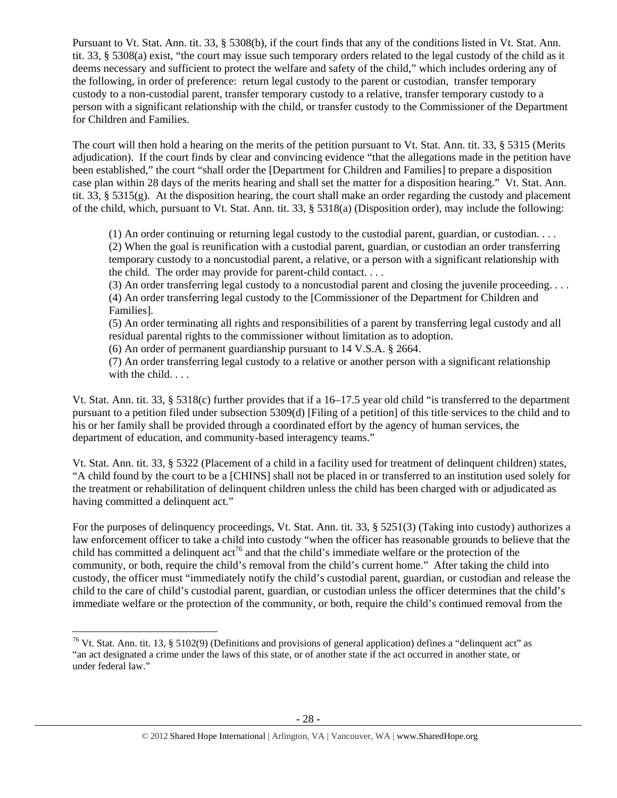Pursuant to Vt. Stat. Ann. tit. 33, § 5308(b), if the court finds that any of the conditions listed in Vt. Stat. Ann. tit. 33, § 5308(a) exist, "the court may issue such temporary orders related to the legal custody of the child as it deems necessary and sufficient to protect the welfare and safety of the child," which includes ordering any of the following, in order of preference: return legal custody to the parent or custodian, transfer temporary custody to a non-custodial parent, transfer temporary custody to a relative, transfer temporary custody to a person with a significant relationship with the child, or transfer custody to the Commissioner of the Department for Children and Families.

The court will then hold a hearing on the merits of the petition pursuant to Vt. Stat. Ann. tit. 33, § 5315 (Merits adjudication). If the court finds by clear and convincing evidence "that the allegations made in the petition have been established," the court "shall order the [Department for Children and Families] to prepare a disposition case plan within 28 days of the merits hearing and shall set the matter for a disposition hearing." Vt. Stat. Ann. tit. 33, § 5315(g). At the disposition hearing, the court shall make an order regarding the custody and placement of the child, which, pursuant to Vt. Stat. Ann. tit. 33, § 5318(a) (Disposition order), may include the following:

(1) An order continuing or returning legal custody to the custodial parent, guardian, or custodian. . . . (2) When the goal is reunification with a custodial parent, guardian, or custodian an order transferring temporary custody to a noncustodial parent, a relative, or a person with a significant relationship with the child. The order may provide for parent-child contact. . . .

(3) An order transferring legal custody to a noncustodial parent and closing the juvenile proceeding. . . . (4) An order transferring legal custody to the [Commissioner of the Department for Children and Families].

(5) An order terminating all rights and responsibilities of a parent by transferring legal custody and all residual parental rights to the commissioner without limitation as to adoption.

(6) An order of permanent guardianship pursuant to 14 V.S.A. § 2664.

(7) An order transferring legal custody to a relative or another person with a significant relationship with the child. . . .

Vt. Stat. Ann. tit. 33, § 5318(c) further provides that if a 16–17.5 year old child "is transferred to the department pursuant to a petition filed under subsection 5309(d) [Filing of a petition] of this title services to the child and to his or her family shall be provided through a coordinated effort by the agency of human services, the department of education, and community-based interagency teams."

Vt. Stat. Ann. tit. 33, § 5322 (Placement of a child in a facility used for treatment of delinquent children) states, "A child found by the court to be a [CHINS] shall not be placed in or transferred to an institution used solely for the treatment or rehabilitation of delinquent children unless the child has been charged with or adjudicated as having committed a delinquent act."

For the purposes of delinquency proceedings, Vt. Stat. Ann. tit. 33, § 5251(3) (Taking into custody) authorizes a law enforcement officer to take a child into custody "when the officer has reasonable grounds to believe that the child has committed a delinquent  $\arctan{6}$  and that the child's immediate welfare or the protection of the community, or both, require the child's removal from the child's current home." After taking the child into custody, the officer must "immediately notify the child's custodial parent, guardian, or custodian and release the child to the care of child's custodial parent, guardian, or custodian unless the officer determines that the child's immediate welfare or the protection of the community, or both, require the child's continued removal from the

 <sup>76</sup> Vt. Stat. Ann. tit. 13, § 5102(9) (Definitions and provisions of general application) defines a "delinquent act" as "an act designated a crime under the laws of this state, or of another state if the act occurred in another state, or under federal law."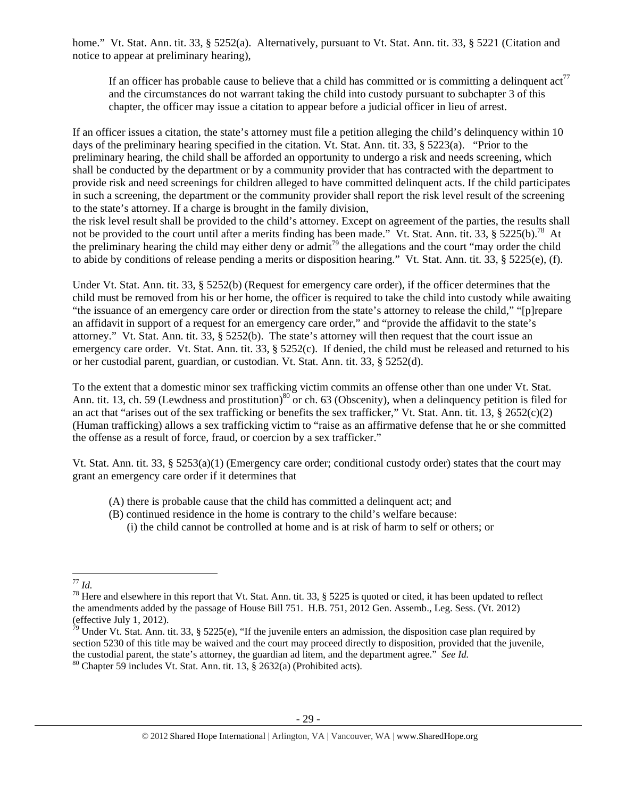home." Vt. Stat. Ann. tit. 33, § 5252(a). Alternatively, pursuant to Vt. Stat. Ann. tit. 33, § 5221 (Citation and notice to appear at preliminary hearing),

If an officer has probable cause to believe that a child has committed or is committing a delinquent  $\arctan^7$ and the circumstances do not warrant taking the child into custody pursuant to subchapter 3 of this chapter, the officer may issue a citation to appear before a judicial officer in lieu of arrest.

If an officer issues a citation, the state's attorney must file a petition alleging the child's delinquency within 10 days of the preliminary hearing specified in the citation. Vt. Stat. Ann. tit. 33, § 5223(a). "Prior to the preliminary hearing, the child shall be afforded an opportunity to undergo a risk and needs screening, which shall be conducted by the department or by a community provider that has contracted with the department to provide risk and need screenings for children alleged to have committed delinquent acts. If the child participates in such a screening, the department or the community provider shall report the risk level result of the screening to the state's attorney. If a charge is brought in the family division,

the risk level result shall be provided to the child's attorney. Except on agreement of the parties, the results shall not be provided to the court until after a merits finding has been made." Vt. Stat. Ann. tit. 33, § 5225(b).<sup>78</sup> At the preliminary hearing the child may either deny or admit<sup>79</sup> the allegations and the court "may order the child to abide by conditions of release pending a merits or disposition hearing." Vt. Stat. Ann. tit. 33, § 5225(e), (f).

Under Vt. Stat. Ann. tit. 33, § 5252(b) (Request for emergency care order), if the officer determines that the child must be removed from his or her home, the officer is required to take the child into custody while awaiting "the issuance of an emergency care order or direction from the state's attorney to release the child," "[p]repare an affidavit in support of a request for an emergency care order," and "provide the affidavit to the state's attorney." Vt. Stat. Ann. tit. 33, § 5252(b). The state's attorney will then request that the court issue an emergency care order. Vt. Stat. Ann. tit. 33, § 5252(c). If denied, the child must be released and returned to his or her custodial parent, guardian, or custodian. Vt. Stat. Ann. tit. 33, § 5252(d).

To the extent that a domestic minor sex trafficking victim commits an offense other than one under Vt. Stat. Ann. tit. 13, ch. 59 (Lewdness and prostitution)<sup>80</sup> or ch. 63 (Obscenity), when a delinquency petition is filed for an act that "arises out of the sex trafficking or benefits the sex trafficker," Vt. Stat. Ann. tit. 13,  $\S 2652(c)(2)$ (Human trafficking) allows a sex trafficking victim to "raise as an affirmative defense that he or she committed the offense as a result of force, fraud, or coercion by a sex trafficker."

Vt. Stat. Ann. tit. 33, §  $5253(a)(1)$  (Emergency care order; conditional custody order) states that the court may grant an emergency care order if it determines that

- (A) there is probable cause that the child has committed a delinquent act; and
- (B) continued residence in the home is contrary to the child's welfare because:
	- (i) the child cannot be controlled at home and is at risk of harm to self or others; or

<sup>&</sup>lt;sup>77</sup> *Id.* <sup>78</sup> Here and elsewhere in this report that Vt. Stat. Ann. tit. 33, § 5225 is quoted or cited, it has been updated to reflect <sup>78</sup> the amendments added by the passage of House Bill 751. H.B. 751, 2012 Gen. Assemb., Leg. Sess. (Vt. 2012) (effective July 1, 2012).

<sup>&</sup>lt;sup>79</sup> Under Vt. Stat. Ann. tit. 33, § 5225(e), "If the juvenile enters an admission, the disposition case plan required by section 5230 of this title may be waived and the court may proceed directly to disposition, provided that the juvenile, the custodial parent, the state's attorney, the guardian ad litem, and the department agree." *See Id.* <sup>80</sup> Chapter 59 includes Vt. Stat. Ann. tit. 13, § 2632(a) (Prohibited acts).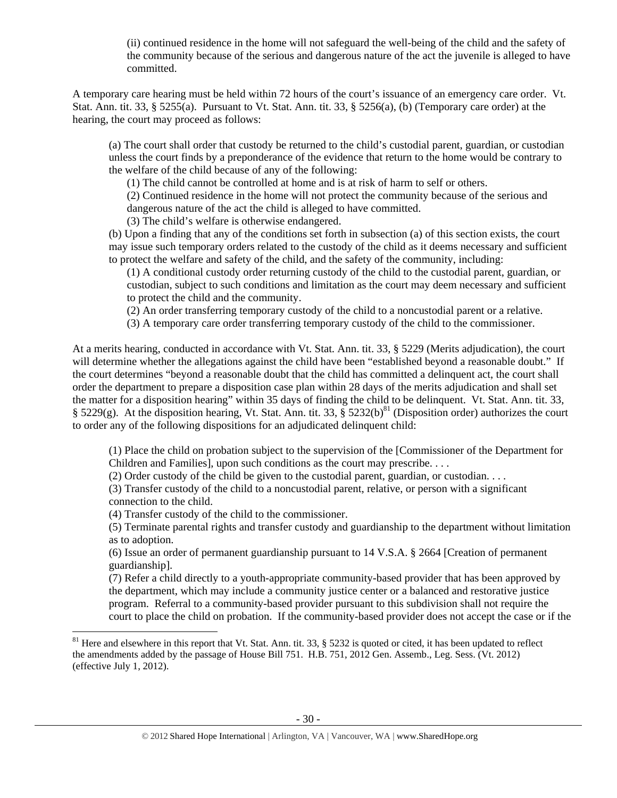(ii) continued residence in the home will not safeguard the well-being of the child and the safety of the community because of the serious and dangerous nature of the act the juvenile is alleged to have committed.

A temporary care hearing must be held within 72 hours of the court's issuance of an emergency care order. Vt. Stat. Ann. tit. 33, § 5255(a). Pursuant to Vt. Stat. Ann. tit. 33, § 5256(a), (b) (Temporary care order) at the hearing, the court may proceed as follows:

(a) The court shall order that custody be returned to the child's custodial parent, guardian, or custodian unless the court finds by a preponderance of the evidence that return to the home would be contrary to the welfare of the child because of any of the following:

(1) The child cannot be controlled at home and is at risk of harm to self or others.

(2) Continued residence in the home will not protect the community because of the serious and dangerous nature of the act the child is alleged to have committed.

(3) The child's welfare is otherwise endangered.

(b) Upon a finding that any of the conditions set forth in subsection (a) of this section exists, the court may issue such temporary orders related to the custody of the child as it deems necessary and sufficient to protect the welfare and safety of the child, and the safety of the community, including:

(1) A conditional custody order returning custody of the child to the custodial parent, guardian, or custodian, subject to such conditions and limitation as the court may deem necessary and sufficient to protect the child and the community.

(2) An order transferring temporary custody of the child to a noncustodial parent or a relative.

(3) A temporary care order transferring temporary custody of the child to the commissioner.

At a merits hearing, conducted in accordance with Vt. Stat. Ann. tit. 33, § 5229 (Merits adjudication), the court will determine whether the allegations against the child have been "established beyond a reasonable doubt." If the court determines "beyond a reasonable doubt that the child has committed a delinquent act, the court shall order the department to prepare a disposition case plan within 28 days of the merits adjudication and shall set the matter for a disposition hearing" within 35 days of finding the child to be delinquent. Vt. Stat. Ann. tit. 33,  $\frac{1}{2}$  5229(g). At the disposition hearing, Vt. Stat. Ann. tit. 33,  $\frac{1}{2}$  5232(b)<sup>81</sup> (Disposition order) authorizes the court to order any of the following dispositions for an adjudicated delinquent child:

(1) Place the child on probation subject to the supervision of the [Commissioner of the Department for Children and Families], upon such conditions as the court may prescribe. . . .

(2) Order custody of the child be given to the custodial parent, guardian, or custodian. . . .

(3) Transfer custody of the child to a noncustodial parent, relative, or person with a significant connection to the child.

(4) Transfer custody of the child to the commissioner.

(5) Terminate parental rights and transfer custody and guardianship to the department without limitation as to adoption.

(6) Issue an order of permanent guardianship pursuant to 14 V.S.A. § 2664 [Creation of permanent guardianship].

(7) Refer a child directly to a youth-appropriate community-based provider that has been approved by the department, which may include a community justice center or a balanced and restorative justice program. Referral to a community-based provider pursuant to this subdivision shall not require the court to place the child on probation. If the community-based provider does not accept the case or if the

 $81$  Here and elsewhere in this report that Vt. Stat. Ann. tit. 33, § 5232 is quoted or cited, it has been updated to reflect the amendments added by the passage of House Bill 751. H.B. 751, 2012 Gen. Assemb., Leg. Sess. (Vt. 2012) (effective July 1, 2012).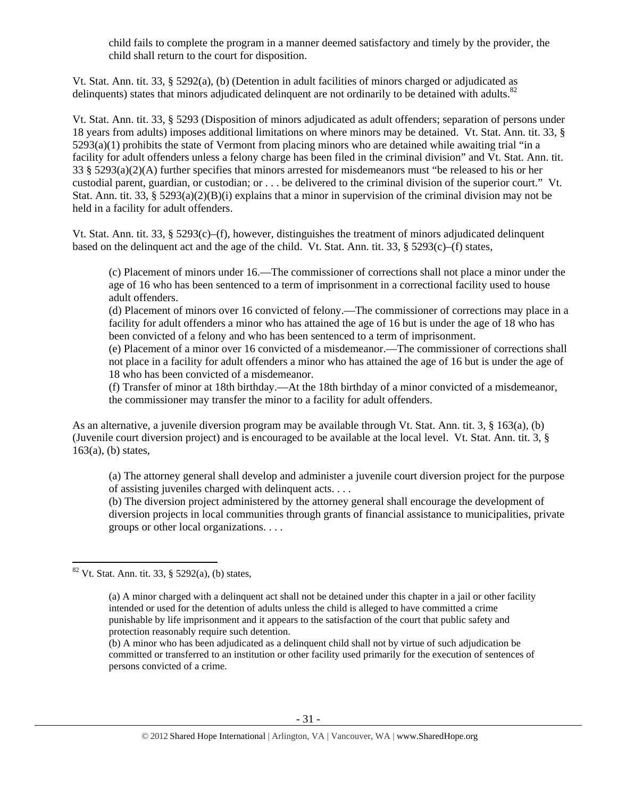child fails to complete the program in a manner deemed satisfactory and timely by the provider, the child shall return to the court for disposition.

Vt. Stat. Ann. tit. 33, § 5292(a), (b) (Detention in adult facilities of minors charged or adjudicated as delinquents) states that minors adjudicated delinquent are not ordinarily to be detained with adults.<sup>82</sup>

Vt. Stat. Ann. tit. 33, § 5293 (Disposition of minors adjudicated as adult offenders; separation of persons under 18 years from adults) imposes additional limitations on where minors may be detained. Vt. Stat. Ann. tit. 33, § 5293(a)(1) prohibits the state of Vermont from placing minors who are detained while awaiting trial "in a facility for adult offenders unless a felony charge has been filed in the criminal division" and Vt. Stat. Ann. tit. 33 § 5293(a)(2)(A) further specifies that minors arrested for misdemeanors must "be released to his or her custodial parent, guardian, or custodian; or . . . be delivered to the criminal division of the superior court." Vt. Stat. Ann. tit. 33, § 5293(a)(2)(B)(i) explains that a minor in supervision of the criminal division may not be held in a facility for adult offenders.

Vt. Stat. Ann. tit. 33, § 5293(c)–(f), however, distinguishes the treatment of minors adjudicated delinquent based on the delinquent act and the age of the child. Vt. Stat. Ann. tit. 33,  $§$  5293(c)–(f) states,

(c) Placement of minors under 16.—The commissioner of corrections shall not place a minor under the age of 16 who has been sentenced to a term of imprisonment in a correctional facility used to house adult offenders.

(d) Placement of minors over 16 convicted of felony.—The commissioner of corrections may place in a facility for adult offenders a minor who has attained the age of 16 but is under the age of 18 who has been convicted of a felony and who has been sentenced to a term of imprisonment.

(e) Placement of a minor over 16 convicted of a misdemeanor.—The commissioner of corrections shall not place in a facility for adult offenders a minor who has attained the age of 16 but is under the age of 18 who has been convicted of a misdemeanor.

(f) Transfer of minor at 18th birthday.—At the 18th birthday of a minor convicted of a misdemeanor, the commissioner may transfer the minor to a facility for adult offenders.

As an alternative, a juvenile diversion program may be available through Vt. Stat. Ann. tit. 3, § 163(a), (b) (Juvenile court diversion project) and is encouraged to be available at the local level. Vt. Stat. Ann. tit. 3, §  $163(a)$ , (b) states,

(a) The attorney general shall develop and administer a juvenile court diversion project for the purpose of assisting juveniles charged with delinquent acts. . . .

(b) The diversion project administered by the attorney general shall encourage the development of diversion projects in local communities through grants of financial assistance to municipalities, private groups or other local organizations. . . .

 $82$  Vt. Stat. Ann. tit. 33, § 5292(a), (b) states,

<sup>(</sup>a) A minor charged with a delinquent act shall not be detained under this chapter in a jail or other facility intended or used for the detention of adults unless the child is alleged to have committed a crime punishable by life imprisonment and it appears to the satisfaction of the court that public safety and protection reasonably require such detention.

<sup>(</sup>b) A minor who has been adjudicated as a delinquent child shall not by virtue of such adjudication be committed or transferred to an institution or other facility used primarily for the execution of sentences of persons convicted of a crime.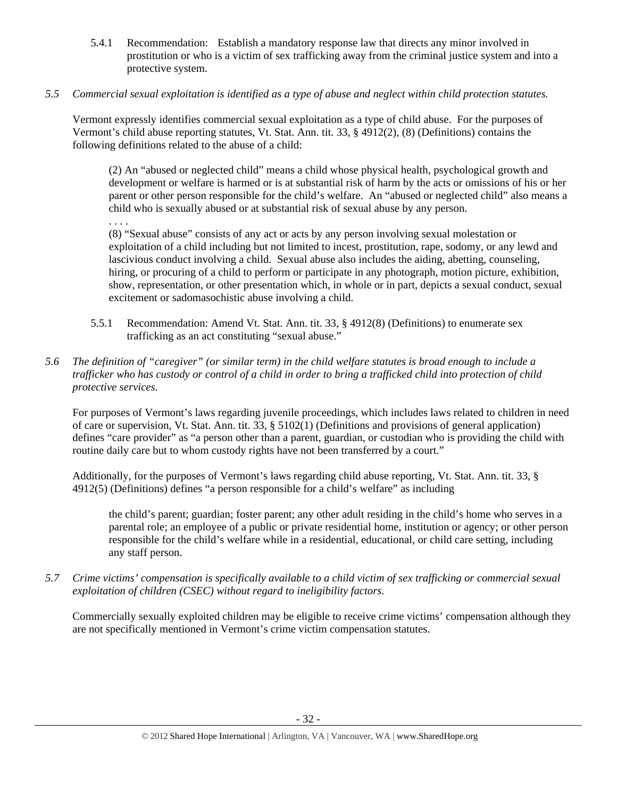- 5.4.1 Recommendation: Establish a mandatory response law that directs any minor involved in prostitution or who is a victim of sex trafficking away from the criminal justice system and into a protective system.
- *5.5 Commercial sexual exploitation is identified as a type of abuse and neglect within child protection statutes.*

Vermont expressly identifies commercial sexual exploitation as a type of child abuse. For the purposes of Vermont's child abuse reporting statutes, Vt. Stat. Ann. tit. 33, § 4912(2), (8) (Definitions) contains the following definitions related to the abuse of a child:

(2) An "abused or neglected child" means a child whose physical health, psychological growth and development or welfare is harmed or is at substantial risk of harm by the acts or omissions of his or her parent or other person responsible for the child's welfare. An "abused or neglected child" also means a child who is sexually abused or at substantial risk of sexual abuse by any person.

. . . .

(8) "Sexual abuse" consists of any act or acts by any person involving sexual molestation or exploitation of a child including but not limited to incest, prostitution, rape, sodomy, or any lewd and lascivious conduct involving a child. Sexual abuse also includes the aiding, abetting, counseling, hiring, or procuring of a child to perform or participate in any photograph, motion picture, exhibition, show, representation, or other presentation which, in whole or in part, depicts a sexual conduct, sexual excitement or sadomasochistic abuse involving a child.

- 5.5.1 Recommendation: Amend Vt. Stat. Ann. tit. 33, § 4912(8) (Definitions) to enumerate sex trafficking as an act constituting "sexual abuse."
- *5.6 The definition of "caregiver" (or similar term) in the child welfare statutes is broad enough to include a trafficker who has custody or control of a child in order to bring a trafficked child into protection of child protective services.*

For purposes of Vermont's laws regarding juvenile proceedings, which includes laws related to children in need of care or supervision, Vt. Stat. Ann. tit. 33, § 5102(1) (Definitions and provisions of general application) defines "care provider" as "a person other than a parent, guardian, or custodian who is providing the child with routine daily care but to whom custody rights have not been transferred by a court."

Additionally, for the purposes of Vermont's laws regarding child abuse reporting, Vt. Stat. Ann. tit. 33, § 4912(5) (Definitions) defines "a person responsible for a child's welfare" as including

the child's parent; guardian; foster parent; any other adult residing in the child's home who serves in a parental role; an employee of a public or private residential home, institution or agency; or other person responsible for the child's welfare while in a residential, educational, or child care setting, including any staff person.

*5.7 Crime victims' compensation is specifically available to a child victim of sex trafficking or commercial sexual exploitation of children (CSEC) without regard to ineligibility factors.* 

Commercially sexually exploited children may be eligible to receive crime victims' compensation although they are not specifically mentioned in Vermont's crime victim compensation statutes.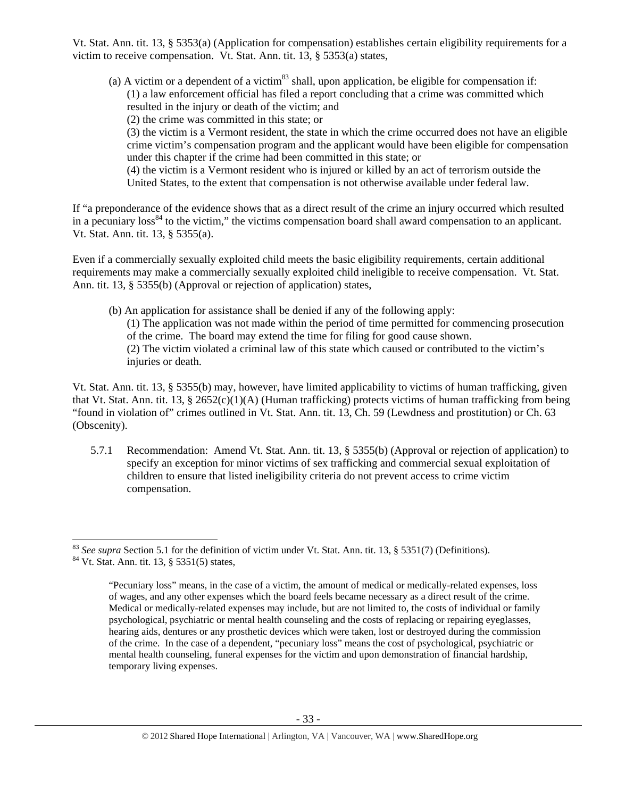Vt. Stat. Ann. tit. 13, § 5353(a) (Application for compensation) establishes certain eligibility requirements for a victim to receive compensation. Vt. Stat. Ann. tit. 13, § 5353(a) states,

(a) A victim or a dependent of a victim $^{83}$  shall, upon application, be eligible for compensation if: (1) a law enforcement official has filed a report concluding that a crime was committed which resulted in the injury or death of the victim; and

(2) the crime was committed in this state; or

(3) the victim is a Vermont resident, the state in which the crime occurred does not have an eligible crime victim's compensation program and the applicant would have been eligible for compensation under this chapter if the crime had been committed in this state; or

(4) the victim is a Vermont resident who is injured or killed by an act of terrorism outside the United States, to the extent that compensation is not otherwise available under federal law.

If "a preponderance of the evidence shows that as a direct result of the crime an injury occurred which resulted in a pecuniary loss<sup>84</sup> to the victim," the victims compensation board shall award compensation to an applicant. Vt. Stat. Ann. tit. 13, § 5355(a).

Even if a commercially sexually exploited child meets the basic eligibility requirements, certain additional requirements may make a commercially sexually exploited child ineligible to receive compensation. Vt. Stat. Ann. tit. 13, § 5355(b) (Approval or rejection of application) states,

(b) An application for assistance shall be denied if any of the following apply: (1) The application was not made within the period of time permitted for commencing prosecution of the crime. The board may extend the time for filing for good cause shown. (2) The victim violated a criminal law of this state which caused or contributed to the victim's injuries or death.

Vt. Stat. Ann. tit. 13, § 5355(b) may, however, have limited applicability to victims of human trafficking, given that Vt. Stat. Ann. tit. 13, § 2652(c)(1)(A) (Human trafficking) protects victims of human trafficking from being "found in violation of" crimes outlined in Vt. Stat. Ann. tit. 13, Ch. 59 (Lewdness and prostitution) or Ch. 63 (Obscenity).

5.7.1 Recommendation: Amend Vt. Stat. Ann. tit. 13, § 5355(b) (Approval or rejection of application) to specify an exception for minor victims of sex trafficking and commercial sexual exploitation of children to ensure that listed ineligibility criteria do not prevent access to crime victim compensation.

 <sup>83</sup> *See supra* Section 5.1 for the definition of victim under Vt. Stat. Ann. tit. 13, § 5351(7) (Definitions). <sup>84</sup> Vt. Stat. Ann. tit. 13, § 5351(5) states,

<sup>&</sup>quot;Pecuniary loss" means, in the case of a victim, the amount of medical or medically-related expenses, loss of wages, and any other expenses which the board feels became necessary as a direct result of the crime. Medical or medically-related expenses may include, but are not limited to, the costs of individual or family psychological, psychiatric or mental health counseling and the costs of replacing or repairing eyeglasses, hearing aids, dentures or any prosthetic devices which were taken, lost or destroyed during the commission of the crime. In the case of a dependent, "pecuniary loss" means the cost of psychological, psychiatric or mental health counseling, funeral expenses for the victim and upon demonstration of financial hardship, temporary living expenses.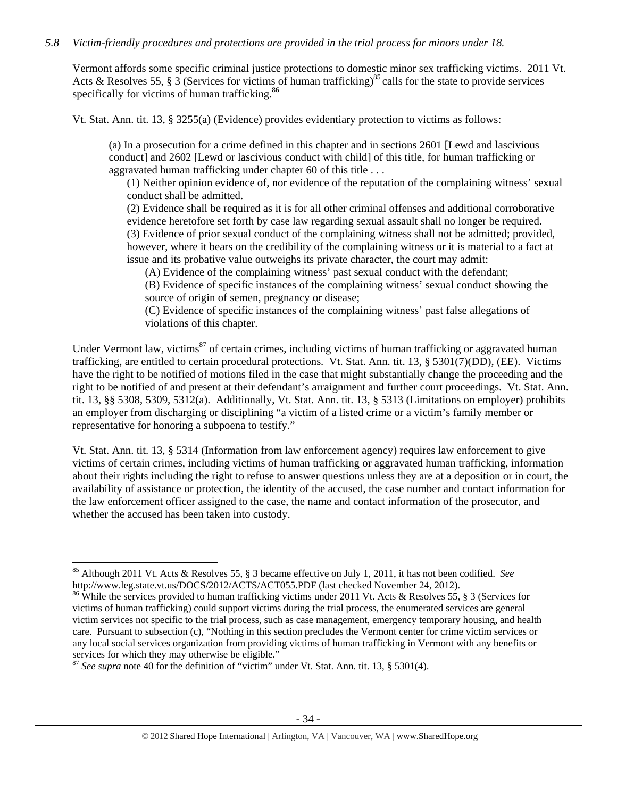## *5.8 Victim-friendly procedures and protections are provided in the trial process for minors under 18.*

Vermont affords some specific criminal justice protections to domestic minor sex trafficking victims. 2011 Vt. Acts & Resolves 55, § 3 (Services for victims of human trafficking)<sup>85</sup> calls for the state to provide services specifically for victims of human trafficking.<sup>86</sup>

Vt. Stat. Ann. tit. 13, § 3255(a) (Evidence) provides evidentiary protection to victims as follows:

(a) In a prosecution for a crime defined in this chapter and in sections 2601 [Lewd and lascivious conduct] and 2602 [Lewd or lascivious conduct with child] of this title, for human trafficking or aggravated human trafficking under chapter 60 of this title . . .

(1) Neither opinion evidence of, nor evidence of the reputation of the complaining witness' sexual conduct shall be admitted.

(2) Evidence shall be required as it is for all other criminal offenses and additional corroborative evidence heretofore set forth by case law regarding sexual assault shall no longer be required. (3) Evidence of prior sexual conduct of the complaining witness shall not be admitted; provided, however, where it bears on the credibility of the complaining witness or it is material to a fact at issue and its probative value outweighs its private character, the court may admit:

(A) Evidence of the complaining witness' past sexual conduct with the defendant;

(B) Evidence of specific instances of the complaining witness' sexual conduct showing the source of origin of semen, pregnancy or disease;

(C) Evidence of specific instances of the complaining witness' past false allegations of violations of this chapter.

Under Vermont law, victims<sup>87</sup> of certain crimes, including victims of human trafficking or aggravated human trafficking, are entitled to certain procedural protections. Vt. Stat. Ann. tit. 13, § 5301(7)(DD), (EE). Victims have the right to be notified of motions filed in the case that might substantially change the proceeding and the right to be notified of and present at their defendant's arraignment and further court proceedings. Vt. Stat. Ann. tit. 13, §§ 5308, 5309, 5312(a). Additionally, Vt. Stat. Ann. tit. 13, § 5313 (Limitations on employer) prohibits an employer from discharging or disciplining "a victim of a listed crime or a victim's family member or representative for honoring a subpoena to testify."

Vt. Stat. Ann. tit. 13, § 5314 (Information from law enforcement agency) requires law enforcement to give victims of certain crimes, including victims of human trafficking or aggravated human trafficking, information about their rights including the right to refuse to answer questions unless they are at a deposition or in court, the availability of assistance or protection, the identity of the accused, the case number and contact information for the law enforcement officer assigned to the case, the name and contact information of the prosecutor, and whether the accused has been taken into custody.

 <sup>85</sup> Although 2011 Vt. Acts & Resolves 55, § 3 became effective on July 1, 2011, it has not been codified. *See* http://www.leg.state.vt.us/DOCS/2012/ACTS/ACT055.PDF (last checked November 24, 2012).

<sup>&</sup>lt;sup>86</sup> While the services provided to human trafficking victims under 2011 Vt. Acts & Resolves 55, § 3 (Services for victims of human trafficking) could support victims during the trial process, the enumerated services are general victim services not specific to the trial process, such as case management, emergency temporary housing, and health care. Pursuant to subsection (c), "Nothing in this section precludes the Vermont center for crime victim services or any local social services organization from providing victims of human trafficking in Vermont with any benefits or services for which they may otherwise be eligible."

<sup>87</sup> *See supra* note 40 for the definition of "victim" under Vt. Stat. Ann. tit. 13, § 5301(4).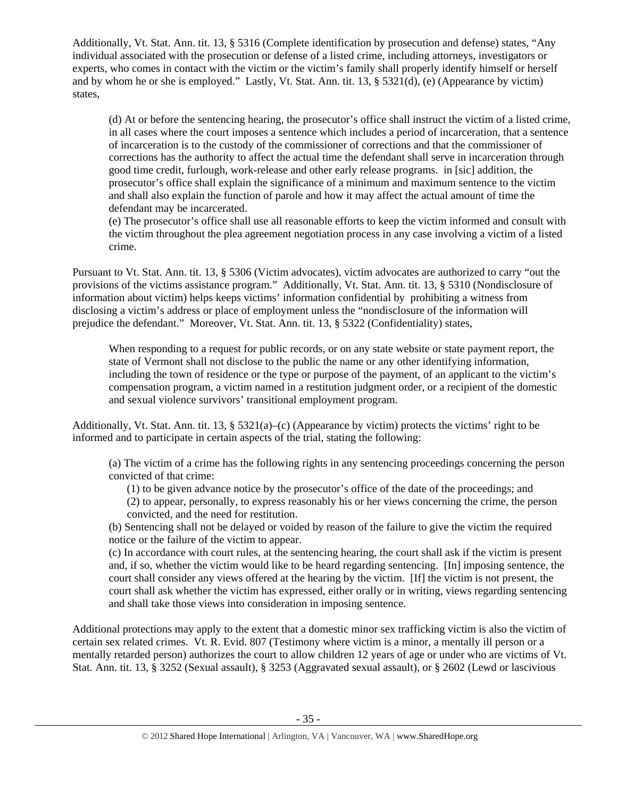Additionally, Vt. Stat. Ann. tit. 13, § 5316 (Complete identification by prosecution and defense) states, "Any individual associated with the prosecution or defense of a listed crime, including attorneys, investigators or experts, who comes in contact with the victim or the victim's family shall properly identify himself or herself and by whom he or she is employed." Lastly, Vt. Stat. Ann. tit. 13, § 5321(d), (e) (Appearance by victim) states,

(d) At or before the sentencing hearing, the prosecutor's office shall instruct the victim of a listed crime, in all cases where the court imposes a sentence which includes a period of incarceration, that a sentence of incarceration is to the custody of the commissioner of corrections and that the commissioner of corrections has the authority to affect the actual time the defendant shall serve in incarceration through good time credit, furlough, work-release and other early release programs. in [sic] addition, the prosecutor's office shall explain the significance of a minimum and maximum sentence to the victim and shall also explain the function of parole and how it may affect the actual amount of time the defendant may be incarcerated.

(e) The prosecutor's office shall use all reasonable efforts to keep the victim informed and consult with the victim throughout the plea agreement negotiation process in any case involving a victim of a listed crime.

Pursuant to Vt. Stat. Ann. tit. 13, § 5306 (Victim advocates), victim advocates are authorized to carry "out the provisions of the victims assistance program." Additionally, Vt. Stat. Ann. tit. 13, § 5310 (Nondisclosure of information about victim) helps keeps victims' information confidential by prohibiting a witness from disclosing a victim's address or place of employment unless the "nondisclosure of the information will prejudice the defendant." Moreover, Vt. Stat. Ann. tit. 13, § 5322 (Confidentiality) states,

When responding to a request for public records, or on any state website or state payment report, the state of Vermont shall not disclose to the public the name or any other identifying information, including the town of residence or the type or purpose of the payment, of an applicant to the victim's compensation program, a victim named in a restitution judgment order, or a recipient of the domestic and sexual violence survivors' transitional employment program.

Additionally, Vt. Stat. Ann. tit. 13, § 5321(a)–(c) (Appearance by victim) protects the victims' right to be informed and to participate in certain aspects of the trial, stating the following:

(a) The victim of a crime has the following rights in any sentencing proceedings concerning the person convicted of that crime:

(1) to be given advance notice by the prosecutor's office of the date of the proceedings; and (2) to appear, personally, to express reasonably his or her views concerning the crime, the person convicted, and the need for restitution.

(b) Sentencing shall not be delayed or voided by reason of the failure to give the victim the required notice or the failure of the victim to appear.

(c) In accordance with court rules, at the sentencing hearing, the court shall ask if the victim is present and, if so, whether the victim would like to be heard regarding sentencing. [In] imposing sentence, the court shall consider any views offered at the hearing by the victim. [If] the victim is not present, the court shall ask whether the victim has expressed, either orally or in writing, views regarding sentencing and shall take those views into consideration in imposing sentence.

Additional protections may apply to the extent that a domestic minor sex trafficking victim is also the victim of certain sex related crimes. Vt. R. Evid. 807 (Testimony where victim is a minor, a mentally ill person or a mentally retarded person) authorizes the court to allow children 12 years of age or under who are victims of Vt. Stat. Ann. tit. 13, § 3252 (Sexual assault), § 3253 (Aggravated sexual assault), or § 2602 (Lewd or lascivious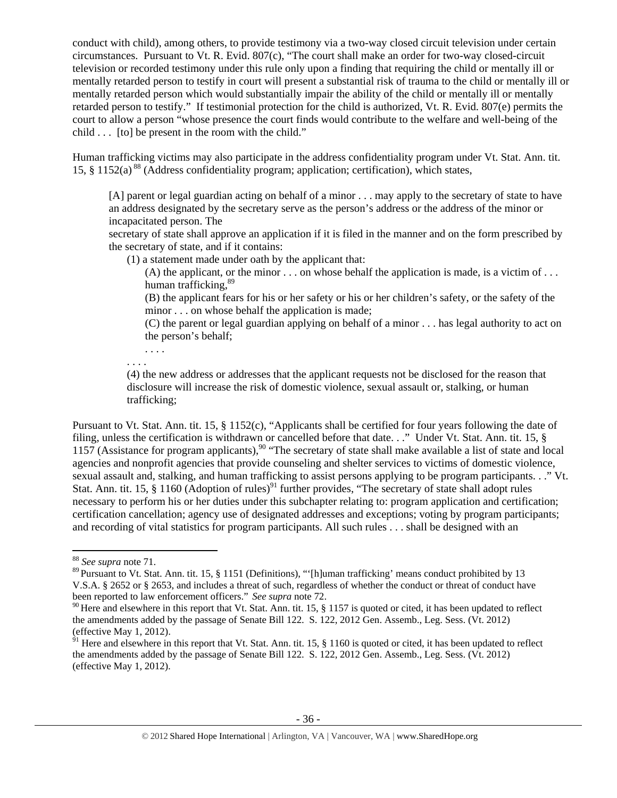conduct with child), among others, to provide testimony via a two-way closed circuit television under certain circumstances. Pursuant to Vt. R. Evid. 807(c), "The court shall make an order for two-way closed-circuit television or recorded testimony under this rule only upon a finding that requiring the child or mentally ill or mentally retarded person to testify in court will present a substantial risk of trauma to the child or mentally ill or mentally retarded person which would substantially impair the ability of the child or mentally ill or mentally retarded person to testify." If testimonial protection for the child is authorized, Vt. R. Evid. 807(e) permits the court to allow a person "whose presence the court finds would contribute to the welfare and well-being of the child . . . [to] be present in the room with the child."

Human trafficking victims may also participate in the address confidentiality program under Vt. Stat. Ann. tit. 15, § 1152(a) 88 (Address confidentiality program; application; certification), which states,

[A] parent or legal guardian acting on behalf of a minor . . . may apply to the secretary of state to have an address designated by the secretary serve as the person's address or the address of the minor or incapacitated person. The

secretary of state shall approve an application if it is filed in the manner and on the form prescribed by the secretary of state, and if it contains:

- (1) a statement made under oath by the applicant that:
	- (A) the applicant, or the minor  $\ldots$  on whose behalf the application is made, is a victim of  $\ldots$ human trafficking.<sup>89</sup>

(B) the applicant fears for his or her safety or his or her children's safety, or the safety of the minor . . . on whose behalf the application is made;

(C) the parent or legal guardian applying on behalf of a minor . . . has legal authority to act on the person's behalf;

. . . . . . . .

(4) the new address or addresses that the applicant requests not be disclosed for the reason that disclosure will increase the risk of domestic violence, sexual assault or, stalking, or human trafficking;

Pursuant to Vt. Stat. Ann. tit. 15, § 1152(c), "Applicants shall be certified for four years following the date of filing, unless the certification is withdrawn or cancelled before that date. . ." Under Vt. Stat. Ann. tit. 15, § 1157 (Assistance for program applicants),<sup>90</sup> "The secretary of state shall make available a list of state and local agencies and nonprofit agencies that provide counseling and shelter services to victims of domestic violence, sexual assault and, stalking, and human trafficking to assist persons applying to be program participants. . ." Vt. Stat. Ann. tit. 15,  $\S$  1160 (Adoption of rules)<sup>91</sup> further provides, "The secretary of state shall adopt rules necessary to perform his or her duties under this subchapter relating to: program application and certification; certification cancellation; agency use of designated addresses and exceptions; voting by program participants; and recording of vital statistics for program participants. All such rules . . . shall be designed with an

<sup>88</sup> *See supra* note 71.

<sup>&</sup>lt;sup>89</sup> Pursuant to Vt. Stat. Ann. tit. 15, § 1151 (Definitions), "'[h]uman trafficking' means conduct prohibited by 13 V.S.A. § 2652 or § 2653, and includes a threat of such, regardless of whether the conduct or threat of conduct have been reported to law enforcement officers." *See supra* note 72.

<sup>&</sup>lt;sup>90</sup> Here and elsewhere in this report that Vt. Stat. Ann. tit. 15,  $\S$  1157 is quoted or cited, it has been updated to reflect the amendments added by the passage of Senate Bill 122. S. 122, 2012 Gen. Assemb., Leg. Sess. (Vt. 2012) (effective May 1, 2012).

 $\frac{91}{91}$  Here and elsewhere in this report that Vt. Stat. Ann. tit. 15, § 1160 is quoted or cited, it has been updated to reflect the amendments added by the passage of Senate Bill 122. S. 122, 2012 Gen. Assemb., Leg. Sess. (Vt. 2012) (effective May 1, 2012).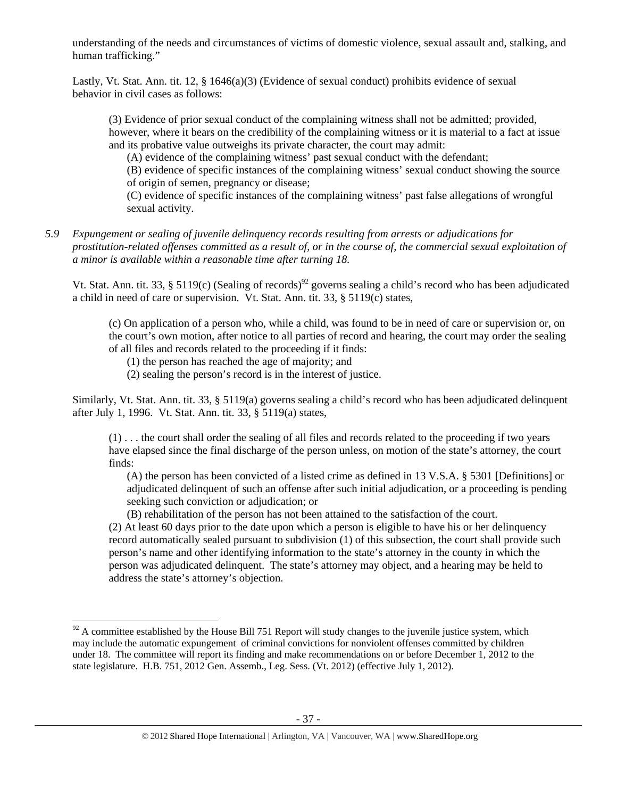understanding of the needs and circumstances of victims of domestic violence, sexual assault and, stalking, and human trafficking."

Lastly, Vt. Stat. Ann. tit. 12, § 1646(a)(3) (Evidence of sexual conduct) prohibits evidence of sexual behavior in civil cases as follows:

(3) Evidence of prior sexual conduct of the complaining witness shall not be admitted; provided, however, where it bears on the credibility of the complaining witness or it is material to a fact at issue and its probative value outweighs its private character, the court may admit:

(A) evidence of the complaining witness' past sexual conduct with the defendant;

(B) evidence of specific instances of the complaining witness' sexual conduct showing the source of origin of semen, pregnancy or disease;

(C) evidence of specific instances of the complaining witness' past false allegations of wrongful sexual activity.

*5.9 Expungement or sealing of juvenile delinquency records resulting from arrests or adjudications for prostitution-related offenses committed as a result of, or in the course of, the commercial sexual exploitation of a minor is available within a reasonable time after turning 18.* 

Vt. Stat. Ann. tit. 33, § 5119(c) (Sealing of records)<sup>92</sup> governs sealing a child's record who has been adjudicated a child in need of care or supervision. Vt. Stat. Ann. tit. 33, § 5119(c) states,

(c) On application of a person who, while a child, was found to be in need of care or supervision or, on the court's own motion, after notice to all parties of record and hearing, the court may order the sealing of all files and records related to the proceeding if it finds:

(1) the person has reached the age of majority; and

(2) sealing the person's record is in the interest of justice.

Similarly, Vt. Stat. Ann. tit. 33, § 5119(a) governs sealing a child's record who has been adjudicated delinquent after July 1, 1996. Vt. Stat. Ann. tit. 33, § 5119(a) states,

(1) . . . the court shall order the sealing of all files and records related to the proceeding if two years have elapsed since the final discharge of the person unless, on motion of the state's attorney, the court finds:

(A) the person has been convicted of a listed crime as defined in 13 V.S.A. § 5301 [Definitions] or adjudicated delinquent of such an offense after such initial adjudication, or a proceeding is pending seeking such conviction or adjudication; or

(B) rehabilitation of the person has not been attained to the satisfaction of the court. (2) At least 60 days prior to the date upon which a person is eligible to have his or her delinquency record automatically sealed pursuant to subdivision (1) of this subsection, the court shall provide such person's name and other identifying information to the state's attorney in the county in which the

person was adjudicated delinquent. The state's attorney may object, and a hearing may be held to address the state's attorney's objection.

 $92$  A committee established by the House Bill 751 Report will study changes to the juvenile justice system, which may include the automatic expungement of criminal convictions for nonviolent offenses committed by children under 18. The committee will report its finding and make recommendations on or before December 1, 2012 to the state legislature. H.B. 751, 2012 Gen. Assemb., Leg. Sess. (Vt. 2012) (effective July 1, 2012).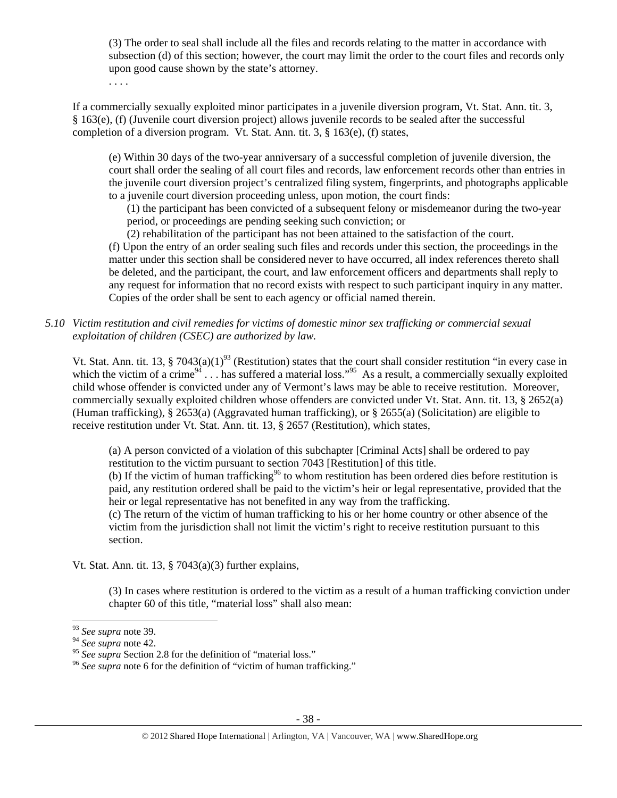(3) The order to seal shall include all the files and records relating to the matter in accordance with subsection (d) of this section; however, the court may limit the order to the court files and records only upon good cause shown by the state's attorney.

. . . .

If a commercially sexually exploited minor participates in a juvenile diversion program, Vt. Stat. Ann. tit. 3, § 163(e), (f) (Juvenile court diversion project) allows juvenile records to be sealed after the successful completion of a diversion program. Vt. Stat. Ann. tit. 3, § 163(e), (f) states,

(e) Within 30 days of the two-year anniversary of a successful completion of juvenile diversion, the court shall order the sealing of all court files and records, law enforcement records other than entries in the juvenile court diversion project's centralized filing system, fingerprints, and photographs applicable to a juvenile court diversion proceeding unless, upon motion, the court finds:

(1) the participant has been convicted of a subsequent felony or misdemeanor during the two-year period, or proceedings are pending seeking such conviction; or

(2) rehabilitation of the participant has not been attained to the satisfaction of the court.

(f) Upon the entry of an order sealing such files and records under this section, the proceedings in the matter under this section shall be considered never to have occurred, all index references thereto shall be deleted, and the participant, the court, and law enforcement officers and departments shall reply to any request for information that no record exists with respect to such participant inquiry in any matter. Copies of the order shall be sent to each agency or official named therein.

*5.10 Victim restitution and civil remedies for victims of domestic minor sex trafficking or commercial sexual exploitation of children (CSEC) are authorized by law.* 

Vt. Stat. Ann. tit. 13, § 7043(a)(1)<sup>93</sup> (Restitution) states that the court shall consider restitution "in every case in which the victim of a crime<sup>94</sup> . . . has suffered a material loss."<sup>95</sup> As a result, a commercially sexually exploited child whose offender is convicted under any of Vermont's laws may be able to receive restitution. Moreover, commercially sexually exploited children whose offenders are convicted under Vt. Stat. Ann. tit. 13, § 2652(a) (Human trafficking), § 2653(a) (Aggravated human trafficking), or § 2655(a) (Solicitation) are eligible to receive restitution under Vt. Stat. Ann. tit. 13, § 2657 (Restitution), which states,

(a) A person convicted of a violation of this subchapter [Criminal Acts] shall be ordered to pay restitution to the victim pursuant to section 7043 [Restitution] of this title.

(b) If the victim of human trafficking<sup>96</sup> to whom restitution has been ordered dies before restitution is paid, any restitution ordered shall be paid to the victim's heir or legal representative, provided that the heir or legal representative has not benefited in any way from the trafficking.

(c) The return of the victim of human trafficking to his or her home country or other absence of the victim from the jurisdiction shall not limit the victim's right to receive restitution pursuant to this section.

Vt. Stat. Ann. tit. 13, § 7043(a)(3) further explains,

(3) In cases where restitution is ordered to the victim as a result of a human trafficking conviction under chapter 60 of this title, "material loss" shall also mean:

<sup>93</sup> *See supra* note 39.

<sup>&</sup>lt;sup>94</sup> See supra note 42.<br><sup>95</sup> See supra Section 2.8 for the definition of "material loss."

<sup>&</sup>lt;sup>96</sup> See supra note 6 for the definition of "victim of human trafficking."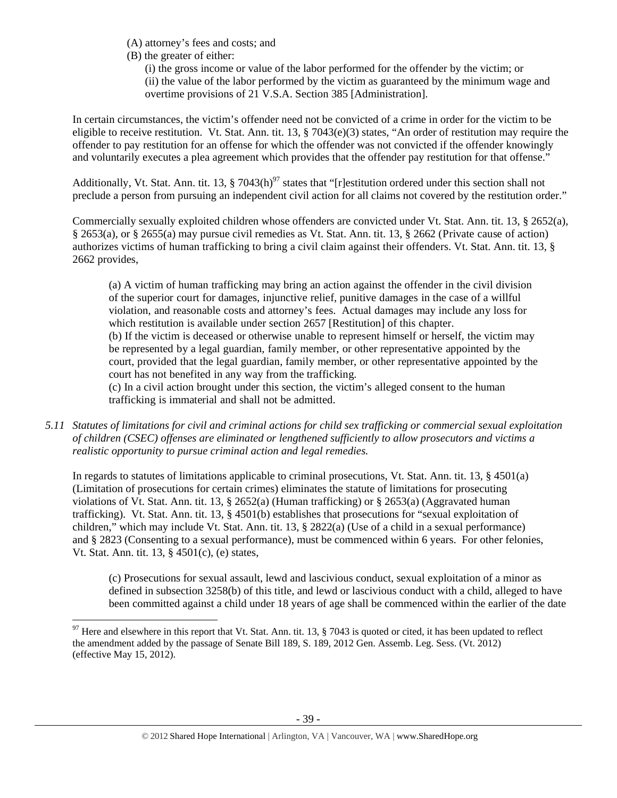(A) attorney's fees and costs; and

(B) the greater of either:

(i) the gross income or value of the labor performed for the offender by the victim; or (ii) the value of the labor performed by the victim as guaranteed by the minimum wage and overtime provisions of 21 V.S.A. Section 385 [Administration].

In certain circumstances, the victim's offender need not be convicted of a crime in order for the victim to be eligible to receive restitution. Vt. Stat. Ann. tit. 13,  $\S$  7043(e)(3) states, "An order of restitution may require the offender to pay restitution for an offense for which the offender was not convicted if the offender knowingly and voluntarily executes a plea agreement which provides that the offender pay restitution for that offense."

Additionally, Vt. Stat. Ann. tit. 13,  $\S 7043(h)^{97}$  states that "[r]estitution ordered under this section shall not preclude a person from pursuing an independent civil action for all claims not covered by the restitution order."

Commercially sexually exploited children whose offenders are convicted under Vt. Stat. Ann. tit. 13, § 2652(a), § 2653(a), or § 2655(a) may pursue civil remedies as Vt. Stat. Ann. tit. 13, § 2662 (Private cause of action) authorizes victims of human trafficking to bring a civil claim against their offenders. Vt. Stat. Ann. tit. 13, § 2662 provides,

(a) A victim of human trafficking may bring an action against the offender in the civil division of the superior court for damages, injunctive relief, punitive damages in the case of a willful violation, and reasonable costs and attorney's fees. Actual damages may include any loss for which restitution is available under section 2657 [Restitution] of this chapter. (b) If the victim is deceased or otherwise unable to represent himself or herself, the victim may be represented by a legal guardian, family member, or other representative appointed by the court, provided that the legal guardian, family member, or other representative appointed by the court has not benefited in any way from the trafficking.

(c) In a civil action brought under this section, the victim's alleged consent to the human trafficking is immaterial and shall not be admitted.

*5.11 Statutes of limitations for civil and criminal actions for child sex trafficking or commercial sexual exploitation of children (CSEC) offenses are eliminated or lengthened sufficiently to allow prosecutors and victims a realistic opportunity to pursue criminal action and legal remedies.* 

In regards to statutes of limitations applicable to criminal prosecutions, Vt. Stat. Ann. tit. 13, § 4501(a) (Limitation of prosecutions for certain crimes) eliminates the statute of limitations for prosecuting violations of Vt. Stat. Ann. tit. 13, § 2652(a) (Human trafficking) or § 2653(a) (Aggravated human trafficking). Vt. Stat. Ann. tit. 13, § 4501(b) establishes that prosecutions for "sexual exploitation of children," which may include Vt. Stat. Ann. tit. 13, § 2822(a) (Use of a child in a sexual performance) and § 2823 (Consenting to a sexual performance), must be commenced within 6 years. For other felonies, Vt. Stat. Ann. tit. 13, § 4501(c), (e) states,

(c) Prosecutions for sexual assault, lewd and lascivious conduct, sexual exploitation of a minor as defined in subsection 3258(b) of this title, and lewd or lascivious conduct with a child, alleged to have been committed against a child under 18 years of age shall be commenced within the earlier of the date

  $^{97}$  Here and elsewhere in this report that Vt. Stat. Ann. tit. 13, § 7043 is quoted or cited, it has been updated to reflect the amendment added by the passage of Senate Bill 189, S. 189, 2012 Gen. Assemb. Leg. Sess. (Vt. 2012) (effective May 15, 2012).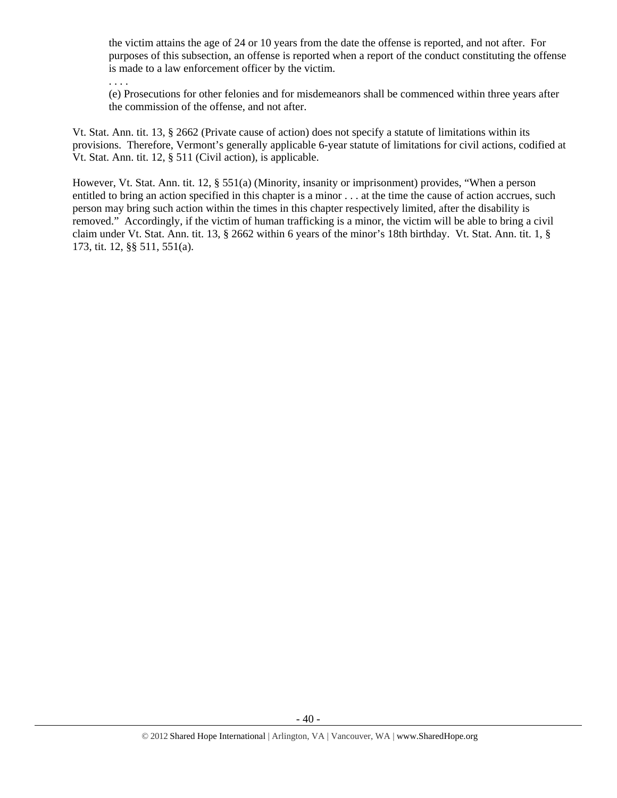the victim attains the age of 24 or 10 years from the date the offense is reported, and not after. For purposes of this subsection, an offense is reported when a report of the conduct constituting the offense is made to a law enforcement officer by the victim.

. . . .

(e) Prosecutions for other felonies and for misdemeanors shall be commenced within three years after the commission of the offense, and not after.

Vt. Stat. Ann. tit. 13, § 2662 (Private cause of action) does not specify a statute of limitations within its provisions. Therefore, Vermont's generally applicable 6-year statute of limitations for civil actions, codified at Vt. Stat. Ann. tit. 12, § 511 (Civil action), is applicable.

However, Vt. Stat. Ann. tit. 12, § 551(a) (Minority, insanity or imprisonment) provides, "When a person entitled to bring an action specified in this chapter is a minor . . . at the time the cause of action accrues, such person may bring such action within the times in this chapter respectively limited, after the disability is removed." Accordingly, if the victim of human trafficking is a minor, the victim will be able to bring a civil claim under Vt. Stat. Ann. tit. 13, § 2662 within 6 years of the minor's 18th birthday. Vt. Stat. Ann. tit. 1, § 173, tit. 12, §§ 511, 551(a).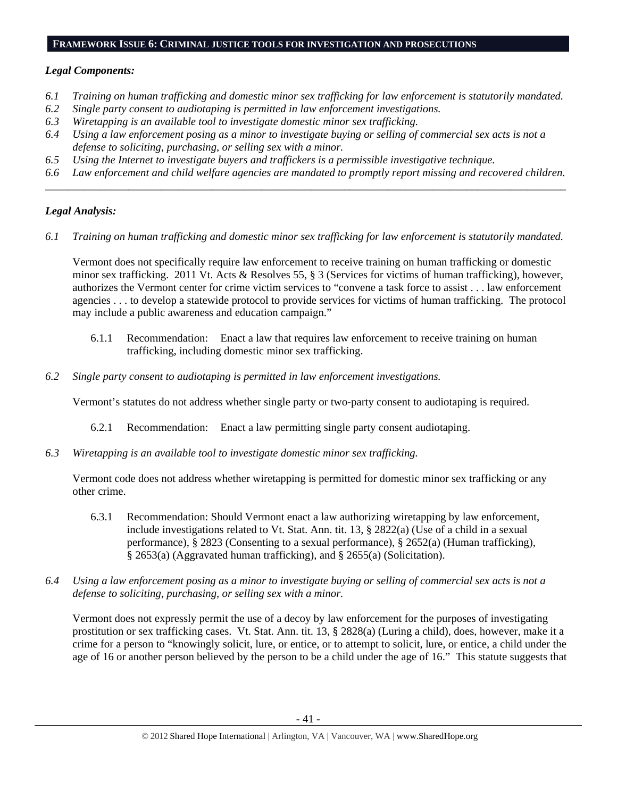#### **FRAMEWORK ISSUE 6: CRIMINAL JUSTICE TOOLS FOR INVESTIGATION AND PROSECUTIONS**

## *Legal Components:*

- *6.1 Training on human trafficking and domestic minor sex trafficking for law enforcement is statutorily mandated.*
- *6.2 Single party consent to audiotaping is permitted in law enforcement investigations.*
- *6.3 Wiretapping is an available tool to investigate domestic minor sex trafficking.*
- *6.4 Using a law enforcement posing as a minor to investigate buying or selling of commercial sex acts is not a defense to soliciting, purchasing, or selling sex with a minor.*
- *6.5 Using the Internet to investigate buyers and traffickers is a permissible investigative technique.*
- *6.6 Law enforcement and child welfare agencies are mandated to promptly report missing and recovered children. \_\_\_\_\_\_\_\_\_\_\_\_\_\_\_\_\_\_\_\_\_\_\_\_\_\_\_\_\_\_\_\_\_\_\_\_\_\_\_\_\_\_\_\_\_\_\_\_\_\_\_\_\_\_\_\_\_\_\_\_\_\_\_\_\_\_\_\_\_\_\_\_\_\_\_\_\_\_\_\_\_\_\_\_\_\_\_\_\_\_\_\_\_\_*

# *Legal Analysis:*

*6.1 Training on human trafficking and domestic minor sex trafficking for law enforcement is statutorily mandated.* 

Vermont does not specifically require law enforcement to receive training on human trafficking or domestic minor sex trafficking. 2011 Vt. Acts & Resolves 55, § 3 (Services for victims of human trafficking), however, authorizes the Vermont center for crime victim services to "convene a task force to assist . . . law enforcement agencies . . . to develop a statewide protocol to provide services for victims of human trafficking. The protocol may include a public awareness and education campaign."

- 6.1.1 Recommendation: Enact a law that requires law enforcement to receive training on human trafficking, including domestic minor sex trafficking.
- *6.2 Single party consent to audiotaping is permitted in law enforcement investigations.*

Vermont's statutes do not address whether single party or two-party consent to audiotaping is required.

- 6.2.1 Recommendation: Enact a law permitting single party consent audiotaping.
- *6.3 Wiretapping is an available tool to investigate domestic minor sex trafficking.*

Vermont code does not address whether wiretapping is permitted for domestic minor sex trafficking or any other crime.

- 6.3.1 Recommendation: Should Vermont enact a law authorizing wiretapping by law enforcement, include investigations related to Vt. Stat. Ann. tit. 13, § 2822(a) (Use of a child in a sexual performance), § 2823 (Consenting to a sexual performance), § 2652(a) (Human trafficking), § 2653(a) (Aggravated human trafficking), and § 2655(a) (Solicitation).
- *6.4 Using a law enforcement posing as a minor to investigate buying or selling of commercial sex acts is not a defense to soliciting, purchasing, or selling sex with a minor.*

Vermont does not expressly permit the use of a decoy by law enforcement for the purposes of investigating prostitution or sex trafficking cases. Vt. Stat. Ann. tit. 13, § 2828(a) (Luring a child), does, however, make it a crime for a person to "knowingly solicit, lure, or entice, or to attempt to solicit, lure, or entice, a child under the age of 16 or another person believed by the person to be a child under the age of 16." This statute suggests that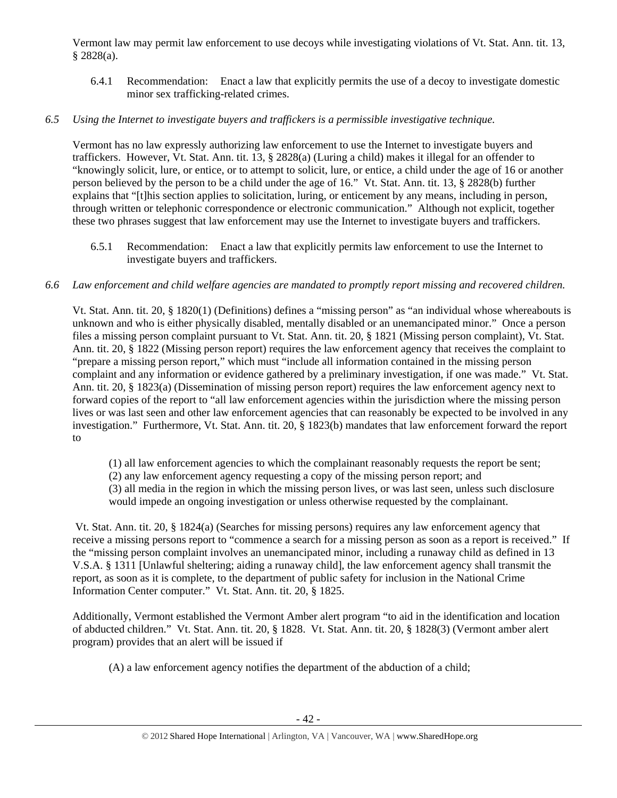Vermont law may permit law enforcement to use decoys while investigating violations of Vt. Stat. Ann. tit. 13, § 2828(a).

6.4.1 Recommendation: Enact a law that explicitly permits the use of a decoy to investigate domestic minor sex trafficking-related crimes.

# *6.5 Using the Internet to investigate buyers and traffickers is a permissible investigative technique.*

Vermont has no law expressly authorizing law enforcement to use the Internet to investigate buyers and traffickers. However, Vt. Stat. Ann. tit. 13, § 2828(a) (Luring a child) makes it illegal for an offender to "knowingly solicit, lure, or entice, or to attempt to solicit, lure, or entice, a child under the age of 16 or another person believed by the person to be a child under the age of 16." Vt. Stat. Ann. tit. 13, § 2828(b) further explains that "[t]his section applies to solicitation, luring, or enticement by any means, including in person, through written or telephonic correspondence or electronic communication." Although not explicit, together these two phrases suggest that law enforcement may use the Internet to investigate buyers and traffickers.

6.5.1 Recommendation: Enact a law that explicitly permits law enforcement to use the Internet to investigate buyers and traffickers.

# *6.6 Law enforcement and child welfare agencies are mandated to promptly report missing and recovered children.*

Vt. Stat. Ann. tit. 20, § 1820(1) (Definitions) defines a "missing person" as "an individual whose whereabouts is unknown and who is either physically disabled, mentally disabled or an unemancipated minor." Once a person files a missing person complaint pursuant to Vt. Stat. Ann. tit. 20, § 1821 (Missing person complaint), Vt. Stat. Ann. tit. 20, § 1822 (Missing person report) requires the law enforcement agency that receives the complaint to "prepare a missing person report," which must "include all information contained in the missing person complaint and any information or evidence gathered by a preliminary investigation, if one was made." Vt. Stat. Ann. tit. 20, § 1823(a) (Dissemination of missing person report) requires the law enforcement agency next to forward copies of the report to "all law enforcement agencies within the jurisdiction where the missing person lives or was last seen and other law enforcement agencies that can reasonably be expected to be involved in any investigation." Furthermore, Vt. Stat. Ann. tit. 20, § 1823(b) mandates that law enforcement forward the report to

(1) all law enforcement agencies to which the complainant reasonably requests the report be sent;

- (2) any law enforcement agency requesting a copy of the missing person report; and
- (3) all media in the region in which the missing person lives, or was last seen, unless such disclosure would impede an ongoing investigation or unless otherwise requested by the complainant.

 Vt. Stat. Ann. tit. 20, § 1824(a) (Searches for missing persons) requires any law enforcement agency that receive a missing persons report to "commence a search for a missing person as soon as a report is received." If the "missing person complaint involves an unemancipated minor, including a runaway child as defined in 13 V.S.A. § 1311 [Unlawful sheltering; aiding a runaway child], the law enforcement agency shall transmit the report, as soon as it is complete, to the department of public safety for inclusion in the National Crime Information Center computer." Vt. Stat. Ann. tit. 20, § 1825.

Additionally, Vermont established the Vermont Amber alert program "to aid in the identification and location of abducted children." Vt. Stat. Ann. tit. 20, § 1828. Vt. Stat. Ann. tit. 20, § 1828(3) (Vermont amber alert program) provides that an alert will be issued if

(A) a law enforcement agency notifies the department of the abduction of a child;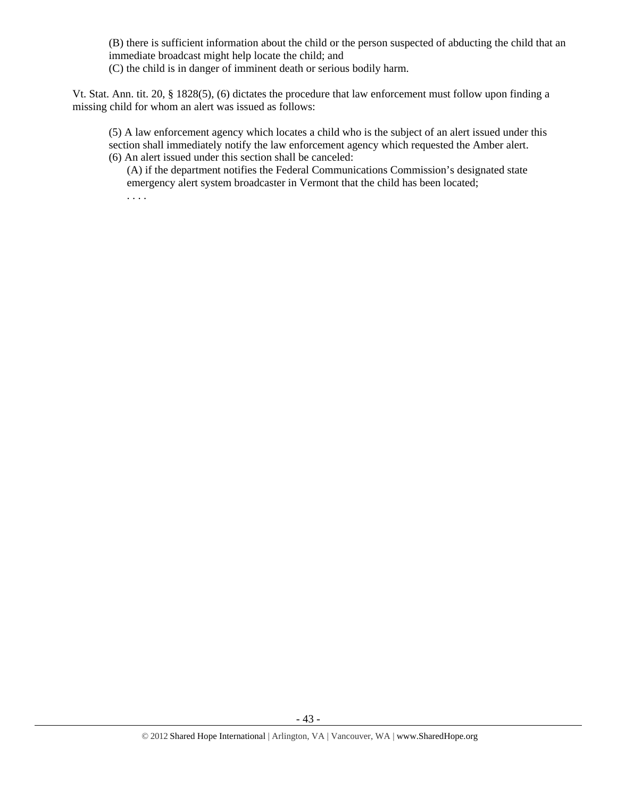(B) there is sufficient information about the child or the person suspected of abducting the child that an immediate broadcast might help locate the child; and

(C) the child is in danger of imminent death or serious bodily harm.

. . . .

Vt. Stat. Ann. tit. 20, § 1828(5), (6) dictates the procedure that law enforcement must follow upon finding a missing child for whom an alert was issued as follows:

(5) A law enforcement agency which locates a child who is the subject of an alert issued under this section shall immediately notify the law enforcement agency which requested the Amber alert. (6) An alert issued under this section shall be canceled:

(A) if the department notifies the Federal Communications Commission's designated state emergency alert system broadcaster in Vermont that the child has been located;